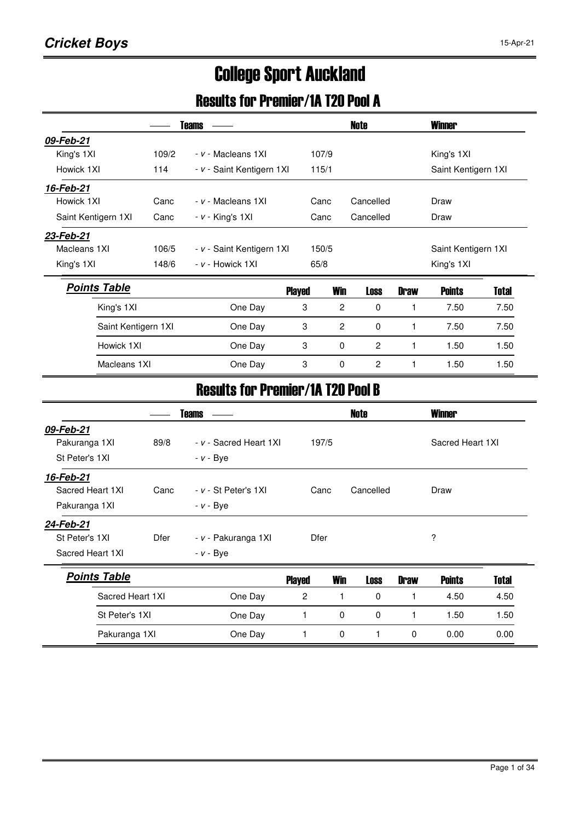# College Sport Auckland

## Results for Premier/1A T20 Pool A

|                     |       | <b>Teams</b>              |               |                | Note           |             | Winner              |       |
|---------------------|-------|---------------------------|---------------|----------------|----------------|-------------|---------------------|-------|
| 09-Feb-21           |       |                           |               |                |                |             |                     |       |
| King's 1XI          | 109/2 | - v - Macleans 1XI        | 107/9         |                |                |             | King's 1XI          |       |
| Howick 1XI          | 114   | - v - Saint Kentigern 1XI | 115/1         |                |                |             | Saint Kentigern 1XI |       |
| 16-Feb-21           |       |                           |               |                |                |             |                     |       |
| Howick 1XI          | Canc  | - v - Macleans 1XI        | Canc          |                | Cancelled      |             | Draw                |       |
| Saint Kentigern 1XI | Canc  | $- v -$ King's 1XI        | Canc          |                | Cancelled      |             | Draw                |       |
| 23-Feb-21           |       |                           |               |                |                |             |                     |       |
| Macleans 1XI        | 106/5 | - v - Saint Kentigern 1XI | 150/5         |                |                |             | Saint Kentigern 1XI |       |
| King's 1XI          | 148/6 | $- v -$ Howick 1XI        | 65/8          |                |                |             | King's 1XI          |       |
| <b>Points Table</b> |       |                           | <b>Played</b> | <b>Win</b>     | Loss           | <b>Draw</b> | <b>Points</b>       | Total |
| King's 1XI          |       | One Day                   | 3             | $\overline{2}$ | 0              | 1           | 7.50                | 7.50  |
| Saint Kentigern 1XI |       | One Day                   | 3             | 2              | 0              |             | 7.50                | 7.50  |
| Howick 1XI          |       | One Day                   | 3             | 0              | $\overline{c}$ |             | 1.50                | 1.50  |
| Macleans 1XI        |       | One Day                   | 3             | $\Omega$       | 2              |             | 1.50                | 1.50  |

### Results for Premier/1A T20 Pool B

|                     |                  | <b>Teams</b>             |                |             | Note      |             | <b>Winner</b>    |       |  |
|---------------------|------------------|--------------------------|----------------|-------------|-----------|-------------|------------------|-------|--|
| 09-Feb-21           |                  |                          |                |             |           |             |                  |       |  |
| Pakuranga 1XI       | 89/8             | - v - Sacred Heart 1XI   |                | 197/5       |           |             | Sacred Heart 1XI |       |  |
| St Peter's 1XI      |                  | $- v - Bye$              |                |             |           |             |                  |       |  |
| 16-Feb-21           |                  |                          |                |             |           |             |                  |       |  |
| Sacred Heart 1XI    | Canc             | $- v - St$ Peter's $1XI$ |                | Canc        | Cancelled |             | Draw             |       |  |
| Pakuranga 1XI       |                  | $- v - Bye$              |                |             |           |             |                  |       |  |
| 24-Feb-21           |                  |                          |                |             |           |             |                  |       |  |
| St Peter's 1XI      | Dfer             | - v - Pakuranga 1XI      |                | Dfer        |           |             | ?                |       |  |
| Sacred Heart 1XI    |                  | $- v - Bye$              |                |             |           |             |                  |       |  |
| <b>Points Table</b> |                  |                          | <b>Played</b>  | <b>Win</b>  | Loss      | <b>Draw</b> | <b>Points</b>    | Total |  |
|                     | Sacred Heart 1XI | One Day                  | $\overline{c}$ | 1           | 0         | 1           | 4.50             | 4.50  |  |
| St Peter's 1XI      |                  | One Day                  |                | $\mathbf 0$ | 0         | 1           | 1.50             | 1.50  |  |
| Pakuranga 1XI       |                  | One Day                  |                | 0           | 1         | 0           | 0.00             | 0.00  |  |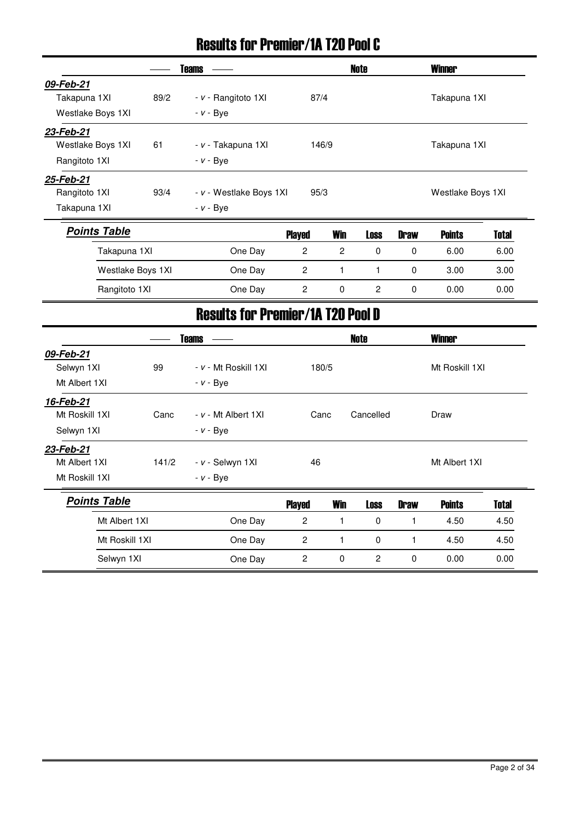### Results for Premier/1A T20 Pool C

| Teams             |                     |                  |                                          |                       |             | <b>Winner</b> |                                                   |  |  |
|-------------------|---------------------|------------------|------------------------------------------|-----------------------|-------------|---------------|---------------------------------------------------|--|--|
|                   |                     |                  |                                          |                       |             |               |                                                   |  |  |
| 89/2              | - v - Rangitoto 1XI |                  |                                          |                       |             |               |                                                   |  |  |
|                   | $- v - Bye$         |                  |                                          |                       |             |               |                                                   |  |  |
|                   |                     |                  |                                          |                       |             |               |                                                   |  |  |
| 61                | - v - Takapuna 1XI  |                  |                                          |                       |             |               |                                                   |  |  |
|                   | $- v - Bye$         |                  |                                          |                       |             |               |                                                   |  |  |
|                   |                     |                  |                                          |                       |             |               |                                                   |  |  |
| 93/4              |                     |                  |                                          |                       |             |               |                                                   |  |  |
|                   | $- v - Bye$         |                  |                                          |                       |             |               |                                                   |  |  |
|                   |                     |                  | <b>Win</b>                               | <b>Loss</b>           | <b>Draw</b> | <b>Points</b> | Total                                             |  |  |
| Takapuna 1XI      | One Day             | $\mathbf{2}$     | 2                                        | $\Omega$              | 0           | 6.00          | 6.00                                              |  |  |
| Westlake Boys 1XI | One Day             | $\boldsymbol{2}$ | 1                                        | 1                     | 0           | 3.00          | 3.00                                              |  |  |
| Rangitoto 1XI     | One Day             | $\mathbf{2}$     | 0                                        | 2                     | 0           | 0.00          | 0.00                                              |  |  |
|                   |                     |                  | - v - Westlake Boys 1XI<br><b>Played</b> | 87/4<br>146/9<br>95/3 | Note        |               | Takapuna 1XI<br>Takapuna 1XI<br>Westlake Boys 1XI |  |  |

|                     |       | <b>Teams</b>          |                |            | Note           |              | <b>Winner</b>  |              |
|---------------------|-------|-----------------------|----------------|------------|----------------|--------------|----------------|--------------|
| 09-Feb-21           |       |                       |                |            |                |              |                |              |
| Selwyn 1XI          | 99    | - v - Mt Roskill 1XI  |                | 180/5      |                |              | Mt Roskill 1XI |              |
| Mt Albert 1XI       |       | $- v - Bye$           |                |            |                |              |                |              |
| 16-Feb-21           |       |                       |                |            |                |              |                |              |
| Mt Roskill 1XI      | Canc  | $- v - Mt$ Albert 1XI |                | Canc       | Cancelled      |              | Draw           |              |
| Selwyn 1XI          |       | $- v - Bye$           |                |            |                |              |                |              |
| 23-Feb-21           |       |                       |                |            |                |              |                |              |
| Mt Albert 1XI       | 141/2 | - v - Selwyn 1XI      | 46             |            |                |              | Mt Albert 1XI  |              |
| Mt Roskill 1XI      |       | $- v - Bye$           |                |            |                |              |                |              |
| <b>Points Table</b> |       |                       | <b>Played</b>  | <b>Win</b> | <b>Loss</b>    | <b>Draw</b>  | <b>Points</b>  | <b>Total</b> |
| Mt Albert 1XI       |       | One Day               | $\overline{2}$ | 1          | $\mathbf 0$    | 1            | 4.50           | 4.50         |
| Mt Roskill 1XI      |       | One Day               | $\overline{c}$ | 1          | $\mathbf 0$    | $\mathbf{1}$ | 4.50           | 4.50         |
| Selwyn 1XI          |       | One Day               | 2              | 0          | $\overline{c}$ | 0            | 0.00           | 0.00         |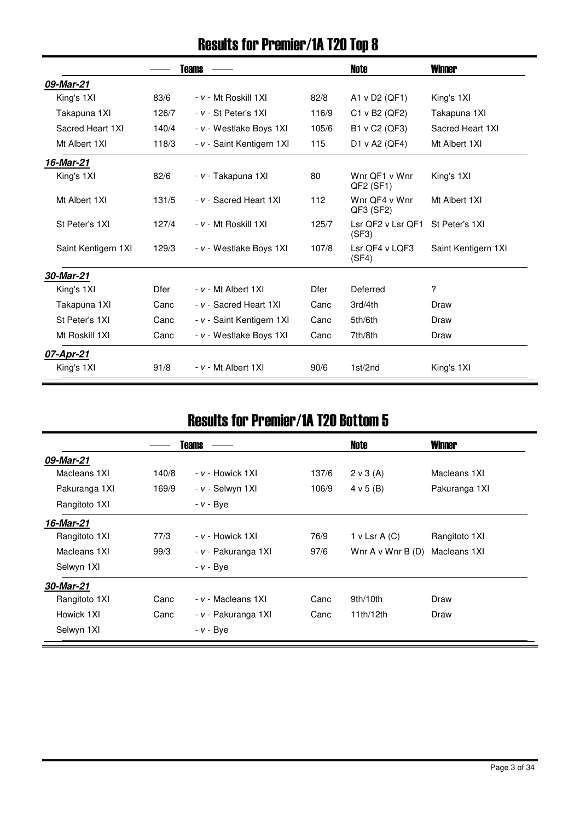## Results for Premier/1A T20 Top 8

|                     |             | <b>Teams</b>              |             | Note                       | <b>Winner</b>       |
|---------------------|-------------|---------------------------|-------------|----------------------------|---------------------|
| 09-Mar-21           |             |                           |             |                            |                     |
| King's 1XI          | 83/6        | - v - Mt Roskill 1XI      | 82/8        | A1 v D2 (QF1)              | King's 1XI          |
| Takapuna 1XI        | 126/7       | - v - St Peter's 1XI      | 116/9       | C1 v B2 (QF2)              | Takapuna 1XI        |
| Sacred Heart 1XI    | 140/4       | - v - Westlake Boys 1XI   | 105/6       | B1 v C2 (QF3)              | Sacred Heart 1XI    |
| Mt Albert 1XI       | 118/3       | - v - Saint Kentigern 1XI | 115         | D1 v A2 (QF4)              | Mt Albert 1XI       |
| 16-Mar-21           |             |                           |             |                            |                     |
| King's 1XI          | 82/6        | - v - Takapuna 1XI        | 80          | Wnr QF1 v Wnr<br>QF2 (SF1) | King's 1XI          |
| Mt Albert 1XI       | 131/5       | - v - Sacred Heart 1XI    | 112         | Wnr QF4 v Wnr<br>QF3 (SF2) | Mt Albert 1XI       |
| St Peter's 1XI      | 127/4       | - v - Mt Roskill 1XI      | 125/7       | Lsr QF2 v Lsr QF1<br>(SF3) | St Peter's 1XI      |
| Saint Kentigern 1XI | 129/3       | - v - Westlake Boys 1XI   | 107/8       | Lsr QF4 v LQF3<br>(SF4)    | Saint Kentigern 1XI |
| 30-Mar-21           |             |                           |             |                            |                     |
| King's 1XI          | <b>Dfer</b> | $- v - Mt$ Albert 1XI     | <b>Dfer</b> | Deferred                   | ?                   |
| Takapuna 1XI        | Canc        | - v - Sacred Heart 1XI    | Canc        | 3rd/4th                    | Draw                |
| St Peter's 1XI      | Canc        | - v - Saint Kentigern 1XI | Canc        | 5th/6th                    | Draw                |
| Mt Roskill 1XI      | Canc        | - v - Westlake Boys 1XI   | Canc        | 7th/8th                    | Draw                |
| 07-Apr-21           |             |                           |             |                            |                     |
| King's 1XI          | 91/8        | - v - Mt Albert 1XI       | 90/6        | 1st/2nd                    | King's 1XI          |

#### Results for Premier/1A T20 Bottom 5

|               |       | <b>Teams</b>        |       | Note                     | <b>Winner</b> |
|---------------|-------|---------------------|-------|--------------------------|---------------|
| 09-Mar-21     |       |                     |       |                          |               |
| Macleans 1XI  | 140/8 | $- v -$ Howick 1XI  | 137/6 | $2 \vee 3$ (A)           | Macleans 1XI  |
| Pakuranga 1XI | 169/9 | - v - Selwyn 1XI    | 106/9 | 4 v 5 (B)                | Pakuranga 1XI |
| Rangitoto 1XI |       | $- v - Bye$         |       |                          |               |
| 16-Mar-21     |       |                     |       |                          |               |
| Rangitoto 1XI | 77/3  | $- v -$ Howick 1XI  | 76/9  | 1 v Lsr A $(C)$          | Rangitoto 1XI |
| Macleans 1XI  | 99/3  | - v - Pakuranga 1XI | 97/6  | Wnr $A \vee W$ nr $B(D)$ | Macleans 1XI  |
| Selwyn 1XI    |       | $- v - Bye$         |       |                          |               |
| 30-Mar-21     |       |                     |       |                          |               |
| Rangitoto 1XI | Canc  | - v - Macleans 1XI  | Canc  | 9th/10th                 | Draw          |
| Howick 1XI    | Canc  | - v - Pakuranga 1XI | Canc  | 11th/12th                | Draw          |
| Selwyn 1XI    |       | - <i>v</i> - Bye    |       |                          |               |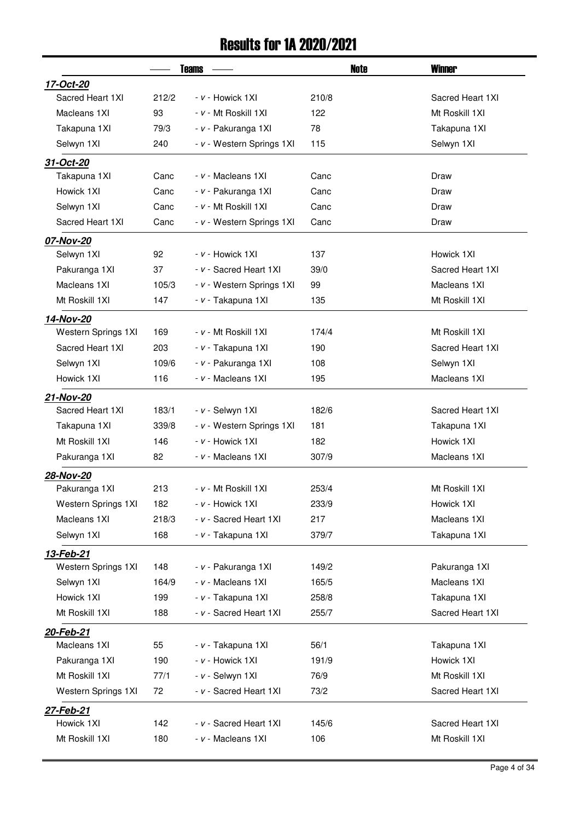### Results for 1A 2020/2021

|                     |       | <b>Teams</b>              | Note  | <b>Winner</b>    |
|---------------------|-------|---------------------------|-------|------------------|
| 17-Oct-20           |       |                           |       |                  |
| Sacred Heart 1XI    | 212/2 | - v - Howick 1XI          | 210/8 | Sacred Heart 1XI |
| Macleans 1XI        | 93    | - v - Mt Roskill 1XI      | 122   | Mt Roskill 1XI   |
| Takapuna 1XI        | 79/3  | - v - Pakuranga 1XI       | 78    | Takapuna 1XI     |
| Selwyn 1XI          | 240   | - v - Western Springs 1XI | 115   | Selwyn 1XI       |
| 31-Oct-20           |       |                           |       |                  |
| Takapuna 1XI        | Canc  | - v - Macleans 1XI        | Canc  | Draw             |
| Howick 1XI          | Canc  | - v - Pakuranga 1XI       | Canc  | Draw             |
| Selwyn 1XI          | Canc  | - v - Mt Roskill 1XI      | Canc  | Draw             |
| Sacred Heart 1XI    | Canc  | - v - Western Springs 1XI | Canc  | Draw             |
| 07-Nov-20           |       |                           |       |                  |
| Selwyn 1XI          | 92    | <i>- v -</i> Howick 1XI   | 137   | Howick 1XI       |
| Pakuranga 1XI       | 37    | - v - Sacred Heart 1XI    | 39/0  | Sacred Heart 1XI |
| Macleans 1XI        | 105/3 | - v - Western Springs 1XI | 99    | Macleans 1XI     |
| Mt Roskill 1XI      | 147   | - v - Takapuna 1XI        | 135   | Mt Roskill 1XI   |
| 14-Nov-20           |       |                           |       |                  |
| Western Springs 1XI | 169   | - v - Mt Roskill 1XI      | 174/4 | Mt Roskill 1XI   |
| Sacred Heart 1XI    | 203   | - v - Takapuna 1XI        | 190   | Sacred Heart 1XI |
| Selwyn 1XI          | 109/6 | - v - Pakuranga 1XI       | 108   | Selwyn 1XI       |
| Howick 1XI          | 116   | - v - Macleans 1XI        | 195   | Macleans 1XI     |
| 21-Nov-20           |       |                           |       |                  |
| Sacred Heart 1XI    | 183/1 | - v - Selwyn 1XI          | 182/6 | Sacred Heart 1XI |
| Takapuna 1XI        | 339/8 | - v - Western Springs 1XI | 181   | Takapuna 1XI     |
| Mt Roskill 1XI      | 146   | $- v -$ Howick 1XI        | 182   | Howick 1XI       |
| Pakuranga 1XI       | 82    | - v - Macleans 1XI        | 307/9 | Macleans 1XI     |
| 28-Nov-20           |       |                           |       |                  |
| Pakuranga 1XI       | 213   | - v - Mt Roskill 1XI      | 253/4 | Mt Roskill 1XI   |
| Western Springs 1XI | 182   | - v - Howick 1XI          | 233/9 | Howick 1XI       |
| Macleans 1XI        | 218/3 | - v - Sacred Heart 1XI    | 217   | Macleans 1XI     |
| Selwyn 1XI          | 168   | - v - Takapuna 1XI        | 379/7 | Takapuna 1XI     |
| 13-Feb-21           |       |                           |       |                  |
| Western Springs 1XI | 148   | - v - Pakuranga 1XI       | 149/2 | Pakuranga 1XI    |
| Selwyn 1XI          | 164/9 | - v - Macleans 1XI        | 165/5 | Macleans 1XI     |
| Howick 1XI          | 199   | - v - Takapuna 1XI        | 258/8 | Takapuna 1XI     |
| Mt Roskill 1XI      | 188   | - v - Sacred Heart 1XI    | 255/7 | Sacred Heart 1XI |
| 20-Feb-21           |       |                           |       |                  |
| Macleans 1XI        | 55    | - v - Takapuna 1XI        | 56/1  | Takapuna 1XI     |
| Pakuranga 1XI       | 190   | - v - Howick 1XI          | 191/9 | Howick 1XI       |
| Mt Roskill 1XI      | 77/1  | - v - Selwyn 1XI          | 76/9  | Mt Roskill 1XI   |
| Western Springs 1XI | 72    | - v - Sacred Heart 1XI    | 73/2  | Sacred Heart 1XI |
| 27-Feb-21           |       |                           |       |                  |
| Howick 1XI          | 142   | - v - Sacred Heart 1XI    | 145/6 | Sacred Heart 1XI |
| Mt Roskill 1XI      | 180   | - v - Macleans 1XI        | 106   | Mt Roskill 1XI   |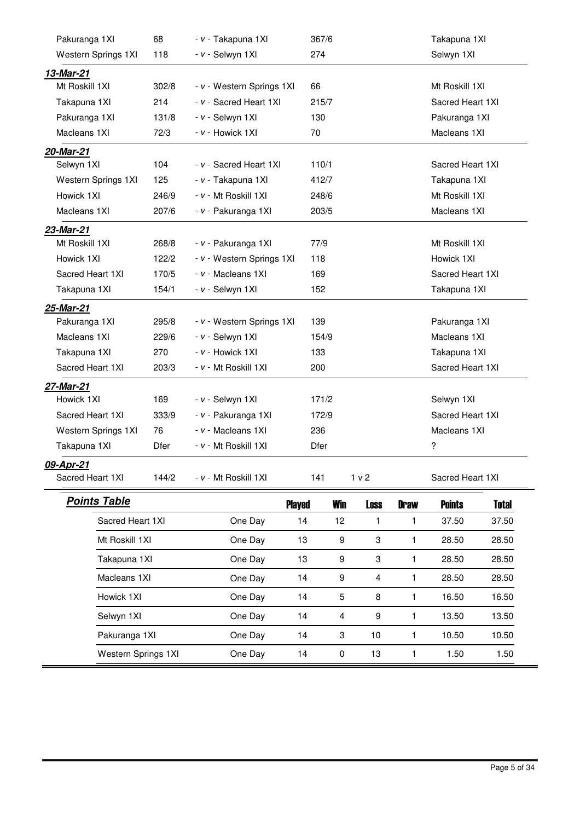| Pakuranga 1XI       | 68                      | - v - Takapuna 1XI        |               | 367/6                   |                  |                | Takapuna 1XI     |              |  |
|---------------------|-------------------------|---------------------------|---------------|-------------------------|------------------|----------------|------------------|--------------|--|
| Western Springs 1XI | 118                     | - v - Selwyn 1XI          | 274           |                         |                  |                | Selwyn 1XI       |              |  |
| 13-Mar-21           |                         |                           |               |                         |                  |                |                  |              |  |
| Mt Roskill 1XI      | 302/8                   | - v - Western Springs 1XI | 66            |                         |                  |                | Mt Roskill 1XI   |              |  |
| Takapuna 1XI        | 214                     | - v - Sacred Heart 1XI    |               | 215/7                   |                  |                | Sacred Heart 1XI |              |  |
| Pakuranga 1XI       | 131/8                   | - v - Selwyn 1XI          | 130           |                         |                  |                | Pakuranga 1XI    |              |  |
| Macleans 1XI        | 72/3                    | - v - Howick 1XI          | 70            |                         |                  |                | Macleans 1XI     |              |  |
| 20-Mar-21           |                         |                           |               |                         |                  |                |                  |              |  |
| Selwyn 1XI          | 104                     | - v - Sacred Heart 1XI    |               | 110/1                   |                  |                | Sacred Heart 1XI |              |  |
| Western Springs 1XI | 125                     | - v - Takapuna 1XI        |               | 412/7                   |                  |                | Takapuna 1XI     |              |  |
| Howick 1XI          | 246/9                   | - v - Mt Roskill 1XI      |               | 248/6                   |                  |                | Mt Roskill 1XI   |              |  |
| Macleans 1XI        | 207/6                   | - v - Pakuranga 1XI       |               | 203/5                   |                  |                | Macleans 1XI     |              |  |
| 23-Mar-21           |                         |                           |               |                         |                  |                |                  |              |  |
| Mt Roskill 1XI      | 268/8                   | - v - Pakuranga 1XI       | 77/9          |                         |                  | Mt Roskill 1XI |                  |              |  |
| Howick 1XI          | 122/2                   | - v - Western Springs 1XI |               | 118                     |                  |                | Howick 1XI       |              |  |
| Sacred Heart 1XI    | 170/5                   | - v - Macleans 1XI        |               | 169                     |                  |                | Sacred Heart 1XI |              |  |
| Takapuna 1XI        | 154/1                   | - v - Selwyn 1XI          |               | 152                     |                  |                | Takapuna 1XI     |              |  |
| 25-Mar-21           |                         |                           |               |                         |                  |                |                  |              |  |
| Pakuranga 1XI       | 295/8                   | - v - Western Springs 1XI | 139           |                         |                  |                | Pakuranga 1XI    |              |  |
| Macleans 1XI        | 229/6                   | - v - Selwyn 1XI          |               | 154/9                   |                  |                | Macleans 1XI     |              |  |
| Takapuna 1XI        | 270                     | - v - Howick 1XI          | 133           |                         |                  |                | Takapuna 1XI     |              |  |
| Sacred Heart 1XI    | 203/3                   | - v - Mt Roskill 1XI      | 200           |                         |                  |                | Sacred Heart 1XI |              |  |
| 27-Mar-21           |                         |                           |               |                         |                  |                |                  |              |  |
| Howick 1XI          | 169                     | - v - Selwyn 1XI          |               | 171/2                   |                  |                | Selwyn 1XI       |              |  |
| Sacred Heart 1XI    | 333/9                   | - v - Pakuranga 1XI       |               | 172/9                   |                  |                | Sacred Heart 1XI |              |  |
| Western Springs 1XI | 76                      | - v - Macleans 1XI        | 236           |                         |                  |                | Macleans 1XI     |              |  |
| Takapuna 1XI        | Dfer                    | - v - Mt Roskill 1XI      | Dfer          |                         |                  |                | ?                |              |  |
| 09-Apr-21           |                         |                           |               |                         |                  |                |                  |              |  |
| Sacred Heart 1XI    | 144/2                   | - v - Mt Roskill 1XI      | 141           |                         | 1 <sub>v</sub> 2 |                | Sacred Heart 1XI |              |  |
| <b>Points Table</b> |                         |                           | <b>Played</b> | <b>Win</b>              | <b>Loss</b>      | <b>Draw</b>    | <b>Points</b>    | <b>Total</b> |  |
| Sacred Heart 1XI    |                         | One Day                   | 14            | 12                      | 1                | 1              | 37.50            | 37.50        |  |
| Mt Roskill 1XI      |                         | One Day                   | 13            | 9                       | 3                | 1              | 28.50            | 28.50        |  |
|                     | Takapuna 1XI<br>One Day |                           | 13            | 9                       | 3                | 1              | 28.50            | 28.50        |  |
|                     | Macleans 1XI<br>One Day |                           | 14            | 9                       | $\overline{4}$   | $\mathbf{1}$   | 28.50            | 28.50        |  |
| Howick 1XI          |                         | One Day                   | 14            | 5                       | 8                | $\mathbf{1}$   | 16.50            | 16.50        |  |
| Selwyn 1XI          |                         | One Day                   | 14            | $\overline{\mathbf{4}}$ | 9                | $\mathbf{1}$   | 13.50            | 13.50        |  |
| Pakuranga 1XI       |                         | One Day                   | 14            | 3                       | 10               | 1              | 10.50            | 10.50        |  |

Western Springs 1XI 0 14 0 13 1 1.50 1.50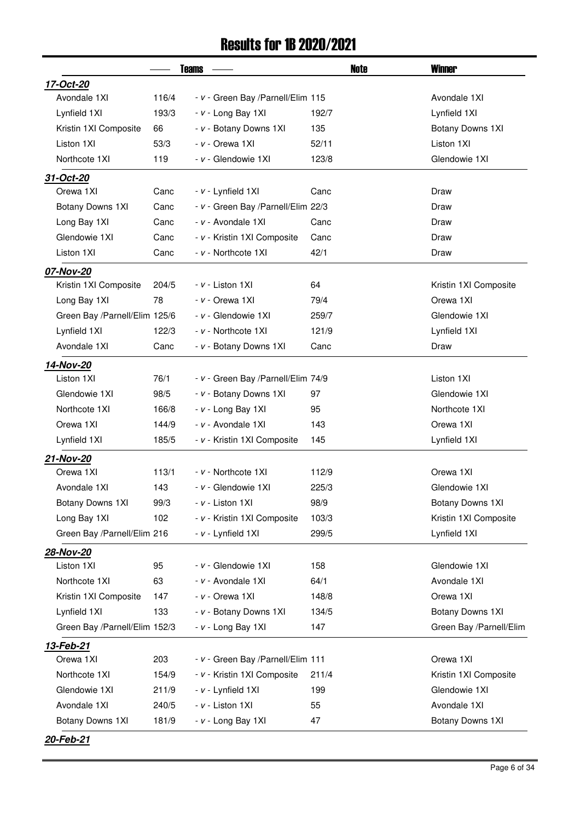#### Results for 1B 2020/2021

|                               |       | <b>Teams</b> |                                    | Note  | <b>Winner</b>           |
|-------------------------------|-------|--------------|------------------------------------|-------|-------------------------|
| 17-Oct-20                     |       |              |                                    |       |                         |
| Avondale 1XI                  | 116/4 |              | - v - Green Bay /Parnell/Elim 115  |       | Avondale 1XI            |
| Lynfield 1XI                  | 193/3 |              | - v - Long Bay 1XI                 | 192/7 | Lynfield 1XI            |
| Kristin 1XI Composite         | 66    |              | - v - Botany Downs 1XI             | 135   | Botany Downs 1XI        |
| Liston 1XI                    | 53/3  |              | $- v -$ Orewa 1XI                  | 52/11 | Liston 1XI              |
| Northcote 1XI                 | 119   |              | - v - Glendowie 1XI                | 123/8 | Glendowie 1XI           |
| 31-Oct-20                     |       |              |                                    |       |                         |
| Orewa 1XI                     | Canc  |              | - v - Lynfield 1XI                 | Canc  | Draw                    |
| Botany Downs 1XI              | Canc  |              | - v - Green Bay /Parnell/Elim 22/3 |       | Draw                    |
| Long Bay 1XI                  | Canc  |              | $- v -$ Avondale 1XI               | Canc  | Draw                    |
| Glendowie 1XI                 | Canc  |              | - v - Kristin 1XI Composite        | Canc  | Draw                    |
| Liston 1XI                    | Canc  |              | - v - Northcote 1XI                | 42/1  | Draw                    |
| 07-Nov-20                     |       |              |                                    |       |                         |
| Kristin 1XI Composite         | 204/5 |              | - v - Liston 1XI                   | 64    | Kristin 1XI Composite   |
| Long Bay 1XI                  | 78    |              | - v - Orewa 1XI                    | 79/4  | Orewa 1XI               |
| Green Bay /Parnell/Elim 125/6 |       |              | - v - Glendowie 1XI                | 259/7 | Glendowie 1XI           |
| Lynfield 1XI                  | 122/3 |              | - v - Northcote 1XI                | 121/9 | Lynfield 1XI            |
| Avondale 1XI                  | Canc  |              | - v - Botany Downs 1XI             | Canc  | Draw                    |
| 14-Nov-20                     |       |              |                                    |       |                         |
| Liston 1XI                    | 76/1  |              | - v - Green Bay /Parnell/Elim 74/9 |       | Liston 1XI              |
| Glendowie 1XI                 | 98/5  |              | - v - Botany Downs 1XI             | 97    | Glendowie 1XI           |
| Northcote 1XI                 | 166/8 |              | - v - Long Bay 1XI                 | 95    | Northcote 1XI           |
| Orewa 1XI                     | 144/9 |              | - v - Avondale 1XI                 | 143   | Orewa 1XI               |
| Lynfield 1XI                  | 185/5 |              | - v - Kristin 1XI Composite        | 145   | Lynfield 1XI            |
| 21-Nov-20                     |       |              |                                    |       |                         |
| Orewa 1XI                     | 113/1 |              | - v - Northcote 1XI                | 112/9 | Orewa 1XI               |
| Avondale 1XI                  | 143   |              | - v - Glendowie 1XI                | 225/3 | Glendowie 1XI           |
| Botany Downs 1XI              | 99/3  |              | - v - Liston 1XI                   | 98/9  | Botany Downs 1XI        |
| Long Bay 1XI                  | 102   |              | - v - Kristin 1XI Composite        | 103/3 | Kristin 1XI Composite   |
| Green Bay /Parnell/Elim 216   |       |              | - v - Lynfield 1XI                 | 299/5 | Lynfield 1XI            |
| 28-Nov-20                     |       |              |                                    |       |                         |
| Liston 1XI                    | 95    |              | - v - Glendowie 1XI                | 158   | Glendowie 1XI           |
| Northcote 1XI                 | 63    |              | - v - Avondale 1XI                 | 64/1  | Avondale 1XI            |
| Kristin 1XI Composite         | 147   |              | $- v -$ Orewa 1XI                  | 148/8 | Orewa 1XI               |
| Lynfield 1XI                  | 133   |              | - v - Botany Downs 1XI             | 134/5 | Botany Downs 1XI        |
| Green Bay /Parnell/Elim 152/3 |       |              | - v - Long Bay 1XI                 | 147   | Green Bay /Parnell/Elim |
| 13-Feb-21                     |       |              |                                    |       |                         |
| Orewa 1XI                     | 203   |              | - v - Green Bay / Parnell/Elim 111 |       | Orewa 1XI               |
| Northcote 1XI                 | 154/9 |              | - v - Kristin 1XI Composite        | 211/4 | Kristin 1XI Composite   |
| Glendowie 1XI                 | 211/9 |              | - v - Lynfield 1XI                 | 199   | Glendowie 1XI           |
| Avondale 1XI                  | 240/5 |              | - v - Liston 1XI                   | 55    | Avondale 1XI            |
| Botany Downs 1XI              | 181/9 |              | - v - Long Bay 1XI                 | 47    | Botany Downs 1XI        |
| 20-Feb-21                     |       |              |                                    |       |                         |

Page 6 of 34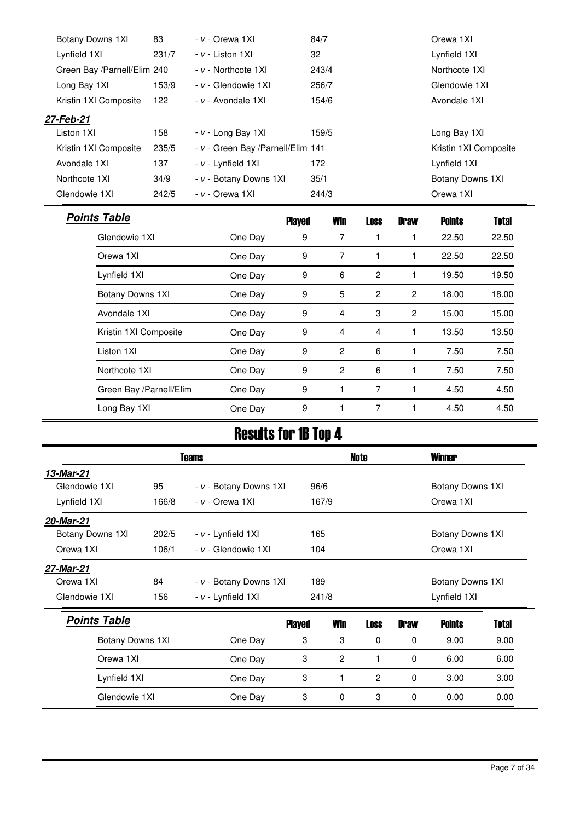| Botany Downs 1XI            | 83<br>$- v -$ Orewa 1XI |                                   |               |                |                | Orewa 1XI      |                       |              |  |
|-----------------------------|-------------------------|-----------------------------------|---------------|----------------|----------------|----------------|-----------------------|--------------|--|
| Lynfield 1XI                | 231/7                   | $- v -$ Liston 1XI                | 32            |                |                |                | Lynfield 1XI          |              |  |
| Green Bay /Parnell/Elim 240 |                         | - v - Northcote 1XI               |               | 243/4          |                |                | Northcote 1XI         |              |  |
| Long Bay 1XI                | 153/9                   | - v - Glendowie 1XI               | 256/7         |                |                |                | Glendowie 1XI         |              |  |
| Kristin 1XI Composite       | 122                     | - v - Avondale 1XI                | 154/6         |                |                |                | Avondale 1XI          |              |  |
| 27-Feb-21                   |                         |                                   |               |                |                |                |                       |              |  |
| Liston 1XI                  | 158                     | - v - Long Bay 1XI                | 159/5         |                |                |                |                       | Long Bay 1XI |  |
| Kristin 1XI Composite       | 235/5                   | - v - Green Bay /Parnell/Elim 141 |               |                |                |                | Kristin 1XI Composite |              |  |
| Avondale 1XI                | 137                     | - v - Lynfield 1XI                | 172           |                |                |                | Lynfield 1XI          |              |  |
| Northcote 1XI               | 34/9                    | - v - Botany Downs 1XI            | 35/1          |                |                |                | Botany Downs 1XI      |              |  |
| Glendowie 1XI               | 242/5                   | - v - Orewa 1XI                   | 244/3         |                |                |                | Orewa 1XI             |              |  |
| <b>Points Table</b>         |                         |                                   | <b>Played</b> | <b>Win</b>     | <b>Loss</b>    | <b>Draw</b>    | <b>Points</b>         | <b>Total</b> |  |
| Glendowie 1XI               |                         | One Day                           | 9             | 7              | 1              | 1              | 22.50                 | 22.50        |  |
| Orewa 1XI                   |                         | One Day                           | 9             | $\overline{7}$ | 1              | $\mathbf{1}$   | 22.50                 | 22.50        |  |
| Lynfield 1XI                |                         | One Day                           | 9             | 6              | $\mathbf{2}$   | 1              | 19.50                 | 19.50        |  |
| Botany Downs 1XI            |                         | One Day                           | 9             | 5              | $\overline{c}$ | $\overline{c}$ | 18.00                 | 18.00        |  |
| Avondale 1XI                |                         | One Day                           | 9             | $\overline{4}$ | 3              | $\overline{c}$ | 15.00                 | 15.00        |  |
|                             | Kristin 1XI Composite   |                                   | 9             | $\overline{4}$ | 4              | 1              | 13.50                 | 13.50        |  |
| Liston 1XI                  |                         |                                   | 9             | $\overline{c}$ | 6              | 1              | 7.50                  | 7.50         |  |
|                             | Northcote 1XI           |                                   | 9             | $\overline{c}$ | 6              | $\mathbf{1}$   | 7.50                  | 7.50         |  |
| Green Bay /Parnell/Elim     |                         | One Day                           | 9             | 1              | $\overline{7}$ | 1              | 4.50                  | 4.50         |  |
| Long Bay 1XI                |                         | One Day                           | 9             | 1              | $\overline{7}$ | $\mathbf{1}$   | 4.50                  | 4.50         |  |

## Results for 1B Top 4

|                     | <b>Teams</b>            |                        |               |                           | Note           |             | <b>Winner</b>    |              |  |  |
|---------------------|-------------------------|------------------------|---------------|---------------------------|----------------|-------------|------------------|--------------|--|--|
| 13-Mar-21           |                         |                        |               |                           |                |             |                  |              |  |  |
| Glendowie 1XI       | 95                      | - v - Botany Downs 1XI | 96/6          |                           |                |             | Botany Downs 1XI |              |  |  |
| Lynfield 1XI        | 166/8                   | $- v -$ Orewa 1XI      |               | 167/9                     |                |             | Orewa 1XI        |              |  |  |
| 20-Mar-21           |                         |                        |               |                           |                |             |                  |              |  |  |
| Botany Downs 1XI    | 202/5                   | - v - Lynfield 1XI     |               | 165                       |                |             | Botany Downs 1XI |              |  |  |
| Orewa 1XI           | 106/1                   | - v - Glendowie 1XI    |               | 104                       |                |             | Orewa 1XI        |              |  |  |
| 27-Mar-21           |                         |                        |               |                           |                |             |                  |              |  |  |
| Orewa 1XI           | 84                      | - v - Botany Downs 1XI | 189           |                           |                |             | Botany Downs 1XI |              |  |  |
| Glendowie 1XI       | 156                     | - v - Lynfield 1XI     | 241/8         |                           |                |             | Lynfield 1XI     |              |  |  |
| <b>Points Table</b> |                         |                        | <b>Played</b> | <b>Win</b>                | <b>Loss</b>    | <b>Draw</b> | <b>Points</b>    | <b>Total</b> |  |  |
| Botany Downs 1XI    |                         | One Day                | 3             | 3                         | 0              | 0           | 9.00             | 9.00         |  |  |
| Orewa 1XI           |                         | One Day                | 3             | 2                         | 1              | 0           | 6.00             | 6.00         |  |  |
|                     | Lynfield 1XI<br>One Day |                        | 3             |                           | $\overline{2}$ | $\Omega$    | 3.00             | 3.00         |  |  |
| Glendowie 1XI       |                         | One Day                | 3             | 3<br>$\Omega$<br>$\Omega$ |                |             | 0.00             | 0.00         |  |  |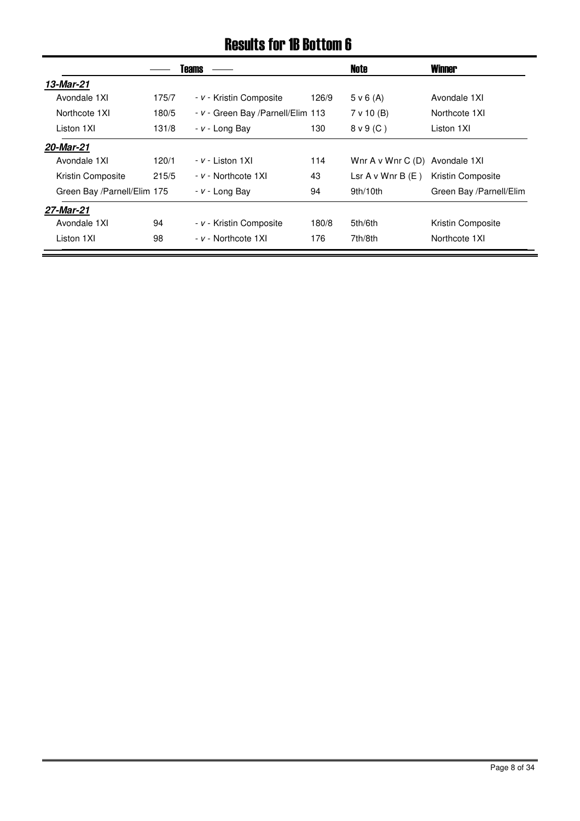### Results for 1B Bottom 6

|                             |       | <b>Teams</b>                       |       | Note                     | <b>Winner</b>           |
|-----------------------------|-------|------------------------------------|-------|--------------------------|-------------------------|
| 13-Mar-21                   |       |                                    |       |                          |                         |
| Avondale 1XI                | 175/7 | - v - Kristin Composite            | 126/9 | 5 v 6(A)                 | Avondale 1XI            |
| Northcote 1XI               | 180/5 | - v - Green Bay / Parnell/Elim 113 |       | 7 v 10 (B)               | Northcote 1XI           |
| Liston 1XI                  | 131/8 | - v - Long Bay                     | 130   | $8 \vee 9$ (C)           | Liston 1XI              |
| 20-Mar-21                   |       |                                    |       |                          |                         |
| Avondale 1XI                | 120/1 | $- v -$ Liston 1XI                 | 114   | Wnr $A \vee W$ nr $C(D)$ | Avondale 1XI            |
| Kristin Composite           | 215/5 | - v - Northcote 1XI                | 43    | Lsr $A \vee W$ nr $B(E)$ | Kristin Composite       |
| Green Bay /Parnell/Elim 175 |       | $- v -$ Long Bay                   | 94    | 9th/10th                 | Green Bay /Parnell/Elim |
| 27-Mar-21                   |       |                                    |       |                          |                         |
| Avondale 1XI                | 94    | - v - Kristin Composite            | 180/8 | 5th/6th                  | Kristin Composite       |
| Liston 1XI                  | 98    | - v - Northcote 1XI                | 176   | 7th/8th                  | Northcote 1XI           |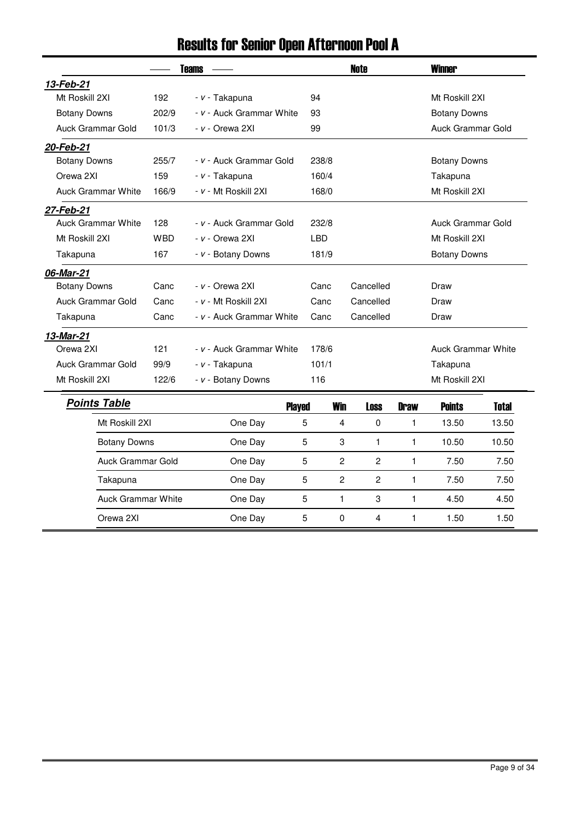## Results for Senior Open Afternoon Pool A

|                           | <b>Teams</b> |                          | <b>Note</b> |                                  |              | <b>Winner</b>             |                |
|---------------------------|--------------|--------------------------|-------------|----------------------------------|--------------|---------------------------|----------------|
| 13-Feb-21                 |              |                          |             |                                  |              |                           |                |
| Mt Roskill 2XI            | 192          | - v - Takapuna           | 94          |                                  |              | Mt Roskill 2XI            |                |
| <b>Botany Downs</b>       | 202/9        | - v - Auck Grammar White | 93          |                                  |              | <b>Botany Downs</b>       |                |
| Auck Grammar Gold         | 101/3        | - v - Orewa 2XI          | 99          |                                  |              | Auck Grammar Gold         |                |
| 20-Feb-21                 |              |                          |             |                                  |              |                           |                |
| <b>Botany Downs</b>       | 255/7        | - v - Auck Grammar Gold  | 238/8       |                                  |              | <b>Botany Downs</b>       |                |
| Orewa 2XI                 | 159          | - v - Takapuna           | 160/4       |                                  |              | Takapuna                  |                |
| <b>Auck Grammar White</b> | 166/9        | - v - Mt Roskill 2XI     | 168/0       |                                  |              | Mt Roskill 2XI            |                |
| 27-Feb-21                 |              |                          |             |                                  |              |                           |                |
| <b>Auck Grammar White</b> | 128          | - v - Auck Grammar Gold  | 232/8       |                                  |              | Auck Grammar Gold         |                |
| Mt Roskill 2XI            | <b>WBD</b>   | - v - Orewa 2XI          | <b>LBD</b>  |                                  |              |                           | Mt Roskill 2XI |
| Takapuna                  | 167          | - v - Botany Downs       | 181/9       |                                  |              | <b>Botany Downs</b>       |                |
| 06-Mar-21                 |              |                          |             |                                  |              |                           |                |
| <b>Botany Downs</b>       | Canc         | - v - Orewa 2XI          | Canc        | Cancelled                        |              | Draw                      |                |
| Auck Grammar Gold         | Canc         | - v - Mt Roskill 2XI     | Canc        | Cancelled                        |              | Draw                      |                |
| Takapuna                  | Canc         | - v - Auck Grammar White | Canc        | Cancelled                        |              | Draw                      |                |
| 13-Mar-21                 |              |                          |             |                                  |              |                           |                |
| Orewa 2XI                 | 121          | - v - Auck Grammar White | 178/6       |                                  |              | <b>Auck Grammar White</b> |                |
| Auck Grammar Gold         | 99/9         | - v - Takapuna           | 101/1       |                                  |              | Takapuna                  |                |
| Mt Roskill 2XI            | 122/6        | - v - Botany Downs       | 116         |                                  |              | Mt Roskill 2XI            |                |
| <b>Points Table</b>       |              | <b>Played</b>            |             | <b>Win</b><br><b>Loss</b>        | <b>Draw</b>  | <b>Points</b>             | <b>Total</b>   |
| Mt Roskill 2XI            |              | One Day                  | 5           | $\overline{4}$<br>0              | 1            | 13.50                     | 13.50          |
| <b>Botany Downs</b>       |              | One Day                  | 5           | 3<br>$\mathbf{1}$                | 1            | 10.50                     | 10.50          |
| Auck Grammar Gold         |              | One Day                  | 5           | $\overline{c}$<br>$\overline{c}$ | $\mathbf{1}$ | 7.50                      | 7.50           |
| Takapuna                  |              | One Day                  | 5           | $\overline{c}$<br>$\overline{c}$ | $\mathbf{1}$ | 7.50                      | 7.50           |
| <b>Auck Grammar White</b> |              | One Day                  | 5           | $\mathbf{1}$<br>3                | $\mathbf{1}$ | 4.50                      | 4.50           |
| Orewa 2XI                 |              | One Day                  | 5           | 0<br>$\overline{4}$              | $\mathbf{1}$ | 1.50                      | 1.50           |
|                           |              |                          |             |                                  |              |                           |                |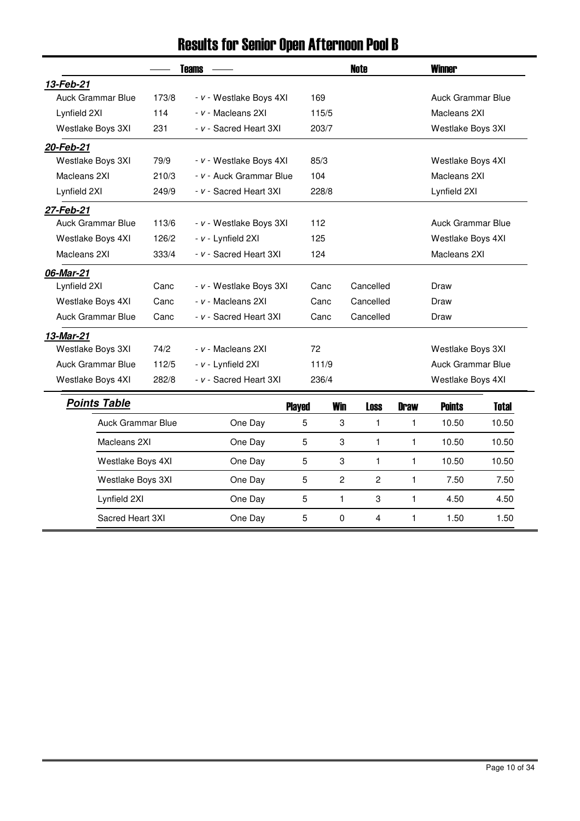## Results for Senior Open Afternoon Pool B

|                          | <b>Teams</b>      |                         |                   | <b>Note</b>    |                |              | <b>Winner</b>     |                   |  |
|--------------------------|-------------------|-------------------------|-------------------|----------------|----------------|--------------|-------------------|-------------------|--|
| 13-Feb-21                |                   |                         |                   |                |                |              |                   |                   |  |
| <b>Auck Grammar Blue</b> | 173/8             | - v - Westlake Boys 4XI | 169               |                |                |              | Auck Grammar Blue |                   |  |
| Lynfield 2XI             | 114               | - v - Macleans 2XI      | 115/5             |                |                |              | Macleans 2XI      |                   |  |
| Westlake Boys 3XI        | 231               | - v - Sacred Heart 3XI  | 203/7             |                |                |              | Westlake Boys 3XI |                   |  |
| 20-Feb-21                |                   |                         |                   |                |                |              |                   |                   |  |
| Westlake Boys 3XI        | 79/9              | - v - Westlake Boys 4XI | 85/3              |                |                |              | Westlake Boys 4XI |                   |  |
| Macleans 2XI             | 210/3             | - v - Auck Grammar Blue | 104               |                |                |              | Macleans 2XI      |                   |  |
| Lynfield 2XI             | 249/9             | - v - Sacred Heart 3XI  | 228/8             |                |                |              | Lynfield 2XI      |                   |  |
| 27-Feb-21                |                   |                         |                   |                |                |              |                   |                   |  |
| <b>Auck Grammar Blue</b> | 113/6             | - v - Westlake Boys 3XI | 112               |                |                |              | Auck Grammar Blue |                   |  |
| Westlake Boys 4XI        | 126/2             | - v - Lynfield 2XI      | 125               |                |                |              |                   | Westlake Boys 4XI |  |
| Macleans 2XI             | 333/4             | - v - Sacred Heart 3XI  | 124               |                |                | Macleans 2XI |                   |                   |  |
| 06-Mar-21                |                   |                         |                   |                |                |              |                   |                   |  |
| Lynfield 2XI             | Canc              | - v - Westlake Boys 3XI | Cancelled<br>Canc |                |                | Draw         |                   |                   |  |
| Westlake Boys 4XI        | Canc              | - v - Macleans 2XI      | Cancelled<br>Canc |                |                |              | Draw              |                   |  |
| <b>Auck Grammar Blue</b> | Canc              | - v - Sacred Heart 3XI  | Canc              |                | Cancelled      |              | Draw              |                   |  |
| 13-Mar-21                |                   |                         |                   |                |                |              |                   |                   |  |
| Westlake Boys 3XI        | 74/2              | - v - Macleans 2XI      | 72                |                |                |              | Westlake Boys 3XI |                   |  |
| <b>Auck Grammar Blue</b> | 112/5             | - v - Lynfield 2XI      | 111/9             |                |                |              | Auck Grammar Blue |                   |  |
| Westlake Boys 4XI        | 282/8             | - v - Sacred Heart 3XI  | 236/4             |                |                |              | Westlake Boys 4XI |                   |  |
| <b>Points Table</b>      |                   |                         | <b>Played</b>     | <b>Win</b>     | <b>Loss</b>    | <b>Draw</b>  | <b>Points</b>     | <b>Total</b>      |  |
| <b>Auck Grammar Blue</b> |                   | One Day                 | 5                 | 3              | $\mathbf{1}$   | 1            | 10.50             | 10.50             |  |
| Macleans 2XI             |                   | One Day                 | 5                 | 3              | $\mathbf{1}$   | $\mathbf{1}$ | 10.50             | 10.50             |  |
|                          | Westlake Boys 4XI |                         | 5                 | 3              | $\mathbf{1}$   | $\mathbf{1}$ | 10.50             | 10.50             |  |
| Westlake Boys 3XI        |                   | One Day                 | 5                 | $\overline{c}$ | 2              | $\mathbf{1}$ | 7.50              | 7.50              |  |
| Lynfield 2XI             |                   | One Day                 | 5                 | $\mathbf{1}$   | 3              | $\mathbf{1}$ | 4.50              | 4.50              |  |
| Sacred Heart 3XI         |                   | One Day                 | 5                 | $\mathbf 0$    | $\overline{4}$ | $\mathbf{1}$ | 1.50              | 1.50              |  |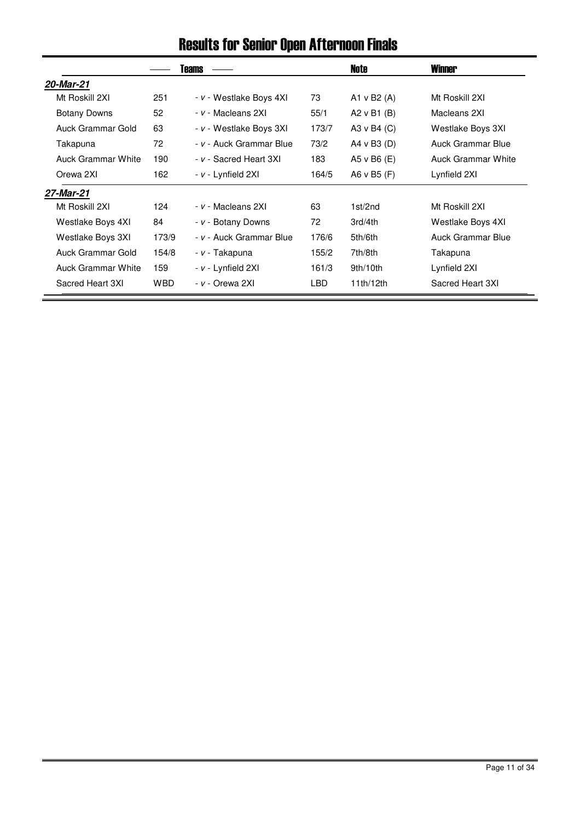## Results for Senior Open Afternoon Finals

|                           |            | Teams                   |       | Note            | <b>Winner</b>      |
|---------------------------|------------|-------------------------|-------|-----------------|--------------------|
| 20-Mar-21                 |            |                         |       |                 |                    |
| Mt Roskill 2XI            | 251        | - v - Westlake Boys 4XI | 73    | A1 v B2 $(A)$   | Mt Roskill 2XI     |
| Botany Downs              | 52         | - v - Macleans 2XI      | 55/1  | A2 $v$ B1 (B)   | Macleans 2XI       |
| Auck Grammar Gold         | 63         | - v - Westlake Boys 3XI | 173/7 | A3 v B4 (C)     | Westlake Boys 3XI  |
| Takapuna                  | 72         | - v - Auck Grammar Blue | 73/2  | A4 v B3 $(D)$   | Auck Grammar Blue  |
| <b>Auck Grammar White</b> | 190        | - v - Sacred Heart 3XI  | 183   | A5 $v$ B6 $(E)$ | Auck Grammar White |
| Orewa 2XI                 | 162        | - v - Lynfield 2XI      | 164/5 | A6 v B5 (F)     | Lynfield 2XI       |
| 27-Mar-21                 |            |                         |       |                 |                    |
| Mt Roskill 2XI            | 124        | - v - Macleans 2XI      | 63    | 1st/2nd         | Mt Roskill 2XI     |
| Westlake Boys 4XI         | 84         | - v - Botany Downs      | 72    | 3rd/4th         | Westlake Boys 4XI  |
| Westlake Boys 3XI         | 173/9      | - v - Auck Grammar Blue | 176/6 | 5th/6th         | Auck Grammar Blue  |
| Auck Grammar Gold         | 154/8      | - v - Takapuna          | 155/2 | 7th/8th         | Takapuna           |
| Auck Grammar White        | 159        | - v - Lynfield 2XI      | 161/3 | 9th/10th        | Lynfield 2XI       |
| Sacred Heart 3XI          | <b>WBD</b> | <i>- v -</i> Orewa 2XI  | LBD   | 11th/12th       | Sacred Heart 3XI   |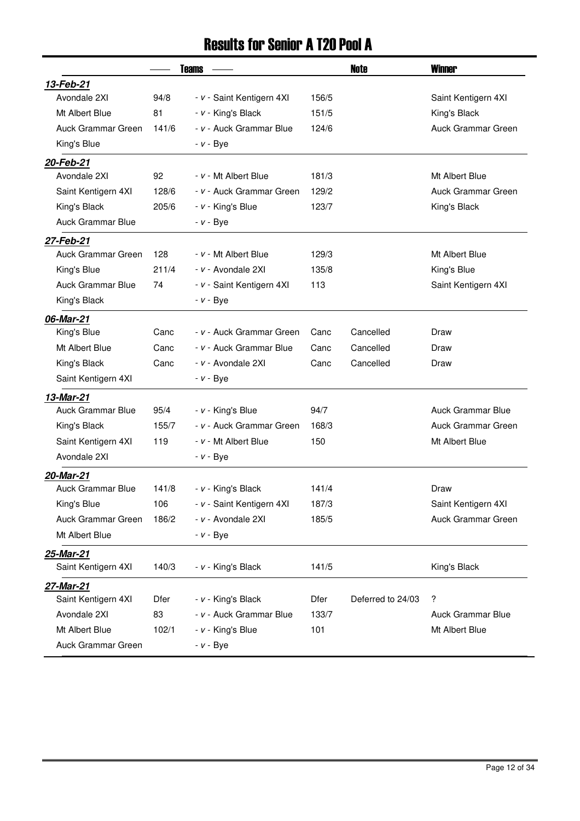## Results for Senior A T20 Pool A

|       |                           |              | Note              | <b>Winner</b>            |
|-------|---------------------------|--------------|-------------------|--------------------------|
|       |                           |              |                   |                          |
| 94/8  | - v - Saint Kentigern 4XI | 156/5        |                   | Saint Kentigern 4XI      |
| 81    | - v - King's Black        | 151/5        |                   | King's Black             |
| 141/6 | - v - Auck Grammar Blue   | 124/6        |                   | Auck Grammar Green       |
|       | $- v - Bye$               |              |                   |                          |
|       |                           |              |                   |                          |
| 92    | - v - Mt Albert Blue      | 181/3        |                   | Mt Albert Blue           |
| 128/6 | - v - Auck Grammar Green  | 129/2        |                   | Auck Grammar Green       |
| 205/6 | - v - King's Blue         | 123/7        |                   | King's Black             |
|       | $- v - Bye$               |              |                   |                          |
|       |                           |              |                   |                          |
| 128   | - v - Mt Albert Blue      | 129/3        |                   | Mt Albert Blue           |
| 211/4 | - v - Avondale 2XI        | 135/8        |                   | King's Blue              |
| 74    | - v - Saint Kentigern 4XI | 113          |                   | Saint Kentigern 4XI      |
|       | $- v - Bye$               |              |                   |                          |
|       |                           |              |                   |                          |
| Canc  | - v - Auck Grammar Green  | Canc         | Cancelled         | Draw                     |
| Canc  | - v - Auck Grammar Blue   | Canc         | Cancelled         | Draw                     |
| Canc  | - v - Avondale 2XI        | Canc         | Cancelled         | Draw                     |
|       | <i>- v -</i> Bye          |              |                   |                          |
|       |                           |              |                   |                          |
| 95/4  | - v - King's Blue         | 94/7         |                   | <b>Auck Grammar Blue</b> |
| 155/7 | - v - Auck Grammar Green  | 168/3        |                   | Auck Grammar Green       |
| 119   | - v - Mt Albert Blue      | 150          |                   | Mt Albert Blue           |
|       | $- v - Bye$               |              |                   |                          |
|       |                           |              |                   |                          |
| 141/8 | - v - King's Black        | 141/4        |                   | Draw                     |
| 106   | - v - Saint Kentigern 4XI | 187/3        |                   | Saint Kentigern 4XI      |
| 186/2 | - v - Avondale 2XI        | 185/5        |                   | Auck Grammar Green       |
|       | $- v - Bye$               |              |                   |                          |
|       |                           |              |                   |                          |
| 140/3 | - v - King's Black        | 141/5        |                   | King's Black             |
|       |                           |              |                   |                          |
| Dfer  | - v - King's Black        | <b>Dfer</b>  | Deferred to 24/03 | ?                        |
| 83    | - v - Auck Grammar Blue   | 133/7        |                   | <b>Auck Grammar Blue</b> |
| 102/1 | - v - King's Blue         | 101          |                   | Mt Albert Blue           |
|       | $- v - Bye$               |              |                   |                          |
|       |                           | <b>Teams</b> |                   |                          |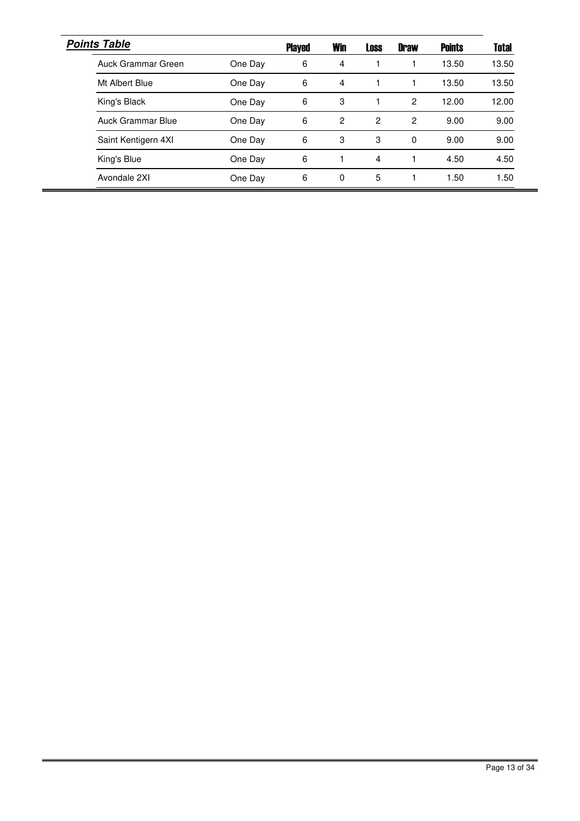| <b>Points Table</b> |         | <b>Played</b> | <b>Win</b> | <b>Loss</b>    | <b>Draw</b> | <b>Points</b> | <b>Total</b> |
|---------------------|---------|---------------|------------|----------------|-------------|---------------|--------------|
| Auck Grammar Green  | One Day | 6             | 4          |                |             | 13.50         | 13.50        |
| Mt Albert Blue      | One Day | 6             | 4          |                |             | 13.50         | 13.50        |
| King's Black        | One Day | 6             | 3          |                | 2           | 12.00         | 12.00        |
| Auck Grammar Blue   | One Day | 6             | 2          | $\overline{c}$ | 2           | 9.00          | 9.00         |
| Saint Kentigern 4XI | One Day | 6             | 3          | 3              | $\Omega$    | 9.00          | 9.00         |
| King's Blue         | One Day | 6             |            | 4              |             | 4.50          | 4.50         |
| Avondale 2XI        | One Day | 6             | 0          | 5              | 1           | 1.50          | 1.50         |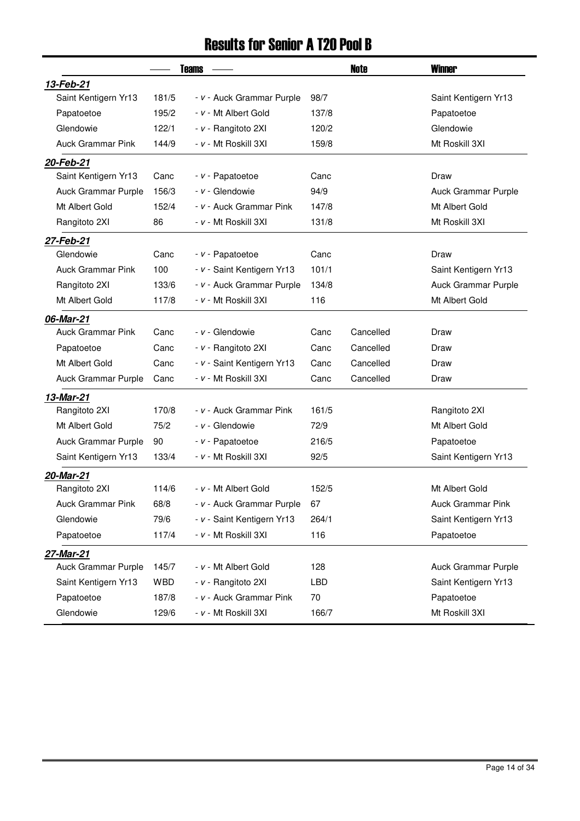### Results for Senior A T20 Pool B

|                          |       | <b>Teams</b>               |            | Note      | <b>Winner</b>            |
|--------------------------|-------|----------------------------|------------|-----------|--------------------------|
| 13-Feb-21                |       |                            |            |           |                          |
| Saint Kentigern Yr13     | 181/5 | - v - Auck Grammar Purple  | 98/7       |           | Saint Kentigern Yr13     |
| Papatoetoe               | 195/2 | - v - Mt Albert Gold       | 137/8      |           | Papatoetoe               |
| Glendowie                | 122/1 | - v - Rangitoto 2XI        | 120/2      |           | Glendowie                |
| <b>Auck Grammar Pink</b> | 144/9 | - v - Mt Roskill 3XI       | 159/8      |           | Mt Roskill 3XI           |
| 20-Feb-21                |       |                            |            |           |                          |
| Saint Kentigern Yr13     | Canc  | - v - Papatoetoe           | Canc       |           | Draw                     |
| Auck Grammar Purple      | 156/3 | - v - Glendowie            | 94/9       |           | Auck Grammar Purple      |
| Mt Albert Gold           | 152/4 | - v - Auck Grammar Pink    | 147/8      |           | Mt Albert Gold           |
| Rangitoto 2XI            | 86    | - v - Mt Roskill 3XI       | 131/8      |           | Mt Roskill 3XI           |
| 27-Feb-21                |       |                            |            |           |                          |
| Glendowie                | Canc  | - v - Papatoetoe           | Canc       |           | Draw                     |
| <b>Auck Grammar Pink</b> | 100   | - v - Saint Kentigern Yr13 | 101/1      |           | Saint Kentigern Yr13     |
| Rangitoto 2XI            | 133/6 | - v - Auck Grammar Purple  | 134/8      |           | Auck Grammar Purple      |
| Mt Albert Gold           | 117/8 | - v - Mt Roskill 3XI       | 116        |           | Mt Albert Gold           |
| 06-Mar-21                |       |                            |            |           |                          |
| Auck Grammar Pink        | Canc  | - v - Glendowie            | Canc       | Cancelled | Draw                     |
| Papatoetoe               | Canc  | - v - Rangitoto 2XI        | Canc       | Cancelled | Draw                     |
| Mt Albert Gold           | Canc  | - v - Saint Kentigern Yr13 | Canc       | Cancelled | Draw                     |
| Auck Grammar Purple      | Canc  | - v - Mt Roskill 3XI       | Canc       | Cancelled | Draw                     |
| 13-Mar-21                |       |                            |            |           |                          |
| Rangitoto 2XI            | 170/8 | - v - Auck Grammar Pink    | 161/5      |           | Rangitoto 2XI            |
| Mt Albert Gold           | 75/2  | - v - Glendowie            | 72/9       |           | Mt Albert Gold           |
| Auck Grammar Purple      | 90    | - v - Papatoetoe           | 216/5      |           | Papatoetoe               |
| Saint Kentigern Yr13     | 133/4 | - v - Mt Roskill 3XI       | 92/5       |           | Saint Kentigern Yr13     |
| 20-Mar-21                |       |                            |            |           |                          |
| Rangitoto 2XI            | 114/6 | - v - Mt Albert Gold       | 152/5      |           | Mt Albert Gold           |
| <b>Auck Grammar Pink</b> | 68/8  | - v - Auck Grammar Purple  | 67         |           | <b>Auck Grammar Pink</b> |
| Glendowie                | 79/6  | - v - Saint Kentigern Yr13 | 264/1      |           | Saint Kentigern Yr13     |
| Papatoetoe               | 117/4 | - v - Mt Roskill 3XI       | 116        |           | Papatoetoe               |
| 27-Mar-21                |       |                            |            |           |                          |
| Auck Grammar Purple      | 145/7 | - v - Mt Albert Gold       | 128        |           | Auck Grammar Purple      |
| Saint Kentigern Yr13     | WBD   | - v - Rangitoto 2XI        | <b>LBD</b> |           | Saint Kentigern Yr13     |
| Papatoetoe               | 187/8 | - v - Auck Grammar Pink    | 70         |           | Papatoetoe               |
| Glendowie                | 129/6 | - v - Mt Roskill 3XI       | 166/7      |           | Mt Roskill 3XI           |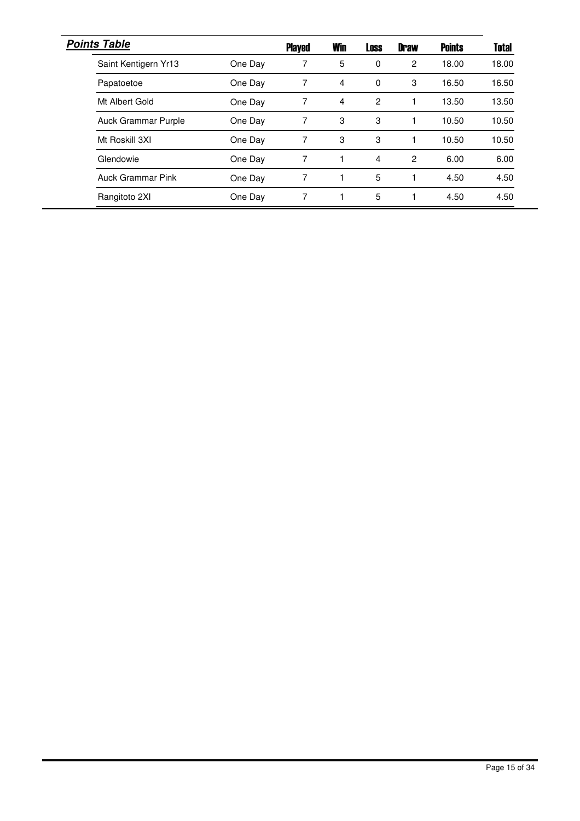| <b>Points Table</b>      |         | <b>Played</b> | <b>Win</b> | <b>Loss</b>    | <b>Draw</b> | <b>Points</b> | <b>Total</b> |
|--------------------------|---------|---------------|------------|----------------|-------------|---------------|--------------|
| Saint Kentigern Yr13     | One Day | 7             | 5          | 0              | 2           | 18.00         | 18.00        |
| Papatoetoe               | One Day | 7             | 4          | $\Omega$       | 3           | 16.50         | 16.50        |
| Mt Albert Gold           | One Day | 7             | 4          | $\overline{2}$ |             | 13.50         | 13.50        |
| Auck Grammar Purple      | One Day | 7             | 3          | 3              | 1           | 10.50         | 10.50        |
| Mt Roskill 3XI           | One Day | 7             | 3          | 3              | $\mathbf 1$ | 10.50         | 10.50        |
| Glendowie                | One Day | 7             | 1          | 4              | 2           | 6.00          | 6.00         |
| <b>Auck Grammar Pink</b> | One Day | 7             |            | 5              | 1           | 4.50          | 4.50         |
| Rangitoto 2XI            | One Day | 7             | 1          | 5              | $\mathbf 1$ | 4.50          | 4.50         |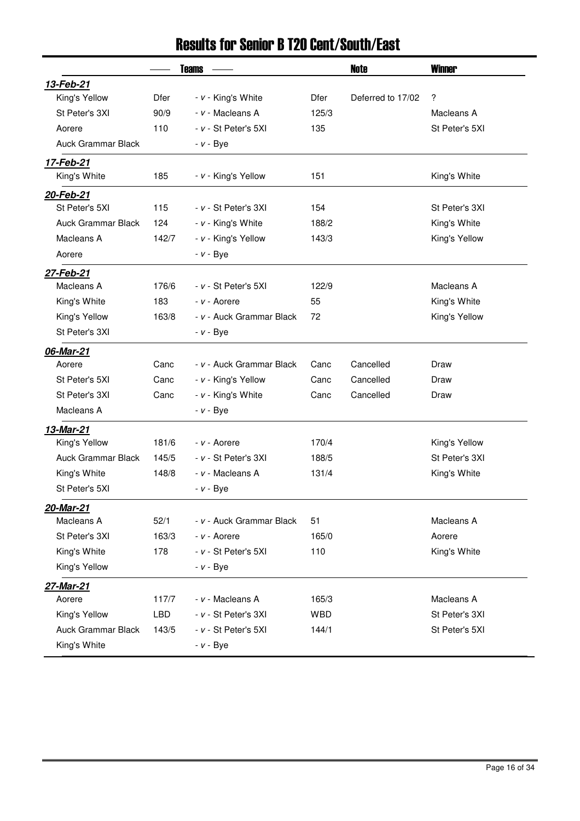## Results for Senior B T20 Cent/South/East

|                           |            | <b>Teams</b>             |       | Note              | <b>Winner</b>  |
|---------------------------|------------|--------------------------|-------|-------------------|----------------|
| 13-Feb-21                 |            |                          |       |                   |                |
| King's Yellow             | Dfer       | - v - King's White       | Dfer  | Deferred to 17/02 | ?              |
| St Peter's 3XI            | 90/9       | - v - Macleans A         | 125/3 |                   | Macleans A     |
| Aorere                    | 110        | - v - St Peter's 5XI     | 135   |                   | St Peter's 5XI |
| Auck Grammar Black        |            | $- v - Bye$              |       |                   |                |
| 17-Feb-21                 |            |                          |       |                   |                |
| King's White              | 185        | - v - King's Yellow      | 151   |                   | King's White   |
| 20-Feb-21                 |            |                          |       |                   |                |
| St Peter's 5XI            | 115        | - v - St Peter's 3XI     | 154   |                   | St Peter's 3XI |
| <b>Auck Grammar Black</b> | 124        | - v - King's White       | 188/2 |                   | King's White   |
| Macleans A                | 142/7      | - v - King's Yellow      | 143/3 |                   | King's Yellow  |
| Aorere                    |            | $- v - Bye$              |       |                   |                |
| 27-Feb-21                 |            |                          |       |                   |                |
| Macleans A                | 176/6      | - v - St Peter's 5XI     | 122/9 |                   | Macleans A     |
| King's White              | 183        | - v - Aorere             | 55    |                   | King's White   |
| King's Yellow             | 163/8      | - v - Auck Grammar Black | 72    |                   | King's Yellow  |
| St Peter's 3XI            |            | $- v - Bye$              |       |                   |                |
| 06-Mar-21                 |            |                          |       |                   |                |
| Aorere                    | Canc       | - v - Auck Grammar Black | Canc  | Cancelled         | Draw           |
| St Peter's 5XI            | Canc       | - v - King's Yellow      | Canc  | Cancelled         | Draw           |
| St Peter's 3XI            | Canc       | - v - King's White       | Canc  | Cancelled         | Draw           |
| Macleans A                |            | $- v - Bye$              |       |                   |                |
| 13-Mar-21                 |            |                          |       |                   |                |
| King's Yellow             | 181/6      | - v - Aorere             | 170/4 |                   | King's Yellow  |
| <b>Auck Grammar Black</b> | 145/5      | - v - St Peter's 3XI     | 188/5 |                   | St Peter's 3XI |
| King's White              | 148/8      | - v - Macleans A         | 131/4 |                   | King's White   |
| St Peter's 5XI            |            | $- v - Bye$              |       |                   |                |
| 20-Mar-21                 |            |                          |       |                   |                |
| Macleans A                | 52/1       | - v - Auck Grammar Black | 51    |                   | Macleans A     |
| St Peter's 3XI            | 163/3      | - v - Aorere             | 165/0 |                   | Aorere         |
| King's White              | 178        | - v - St Peter's 5XI     | 110   |                   | King's White   |
| King's Yellow             |            | $- v - Bye$              |       |                   |                |
| 27-Mar-21                 |            |                          |       |                   |                |
| Aorere                    | 117/7      | - v - Macleans A         | 165/3 |                   | Macleans A     |
| King's Yellow             | <b>LBD</b> | - v - St Peter's 3XI     | WBD   |                   | St Peter's 3XI |
| <b>Auck Grammar Black</b> | 143/5      | - v - St Peter's 5XI     | 144/1 |                   | St Peter's 5XI |
| King's White              |            | $- v - Bye$              |       |                   |                |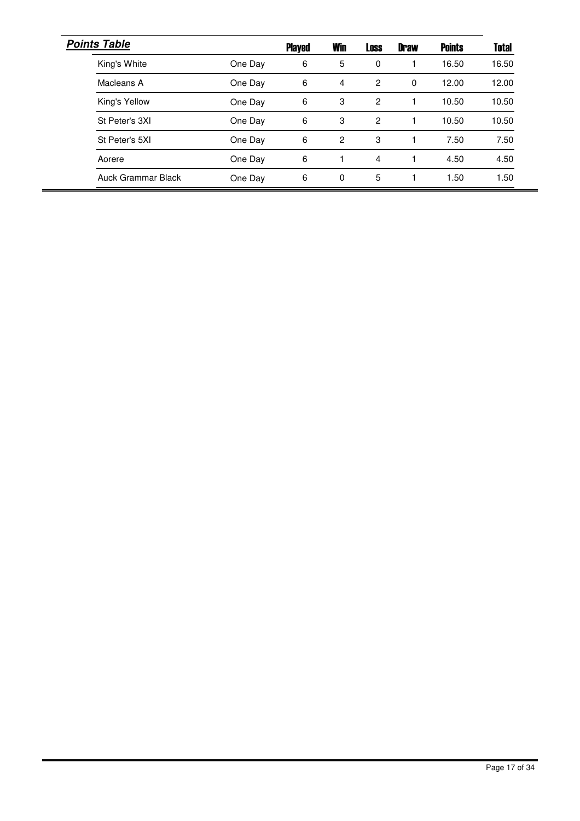| <b>Points Table</b> |         | <b>Played</b> | <b>Win</b>     | <b>Loss</b> | <b>Draw</b> | <b>Points</b> | <b>Total</b> |
|---------------------|---------|---------------|----------------|-------------|-------------|---------------|--------------|
| King's White        | One Day | 6             | 5              | 0           |             | 16.50         | 16.50        |
| Macleans A          | One Day | 6             | $\overline{4}$ | 2           | 0           | 12.00         | 12.00        |
| King's Yellow       | One Day | 6             | 3              | 2           |             | 10.50         | 10.50        |
| St Peter's 3XI      | One Day | 6             | 3              | 2           |             | 10.50         | 10.50        |
| St Peter's 5XI      | One Day | 6             | 2              | 3           |             | 7.50          | 7.50         |
| Aorere              | One Day | 6             |                | 4           |             | 4.50          | 4.50         |
| Auck Grammar Black  | One Day | 6             | 0              | 5           |             | 1.50          | 1.50         |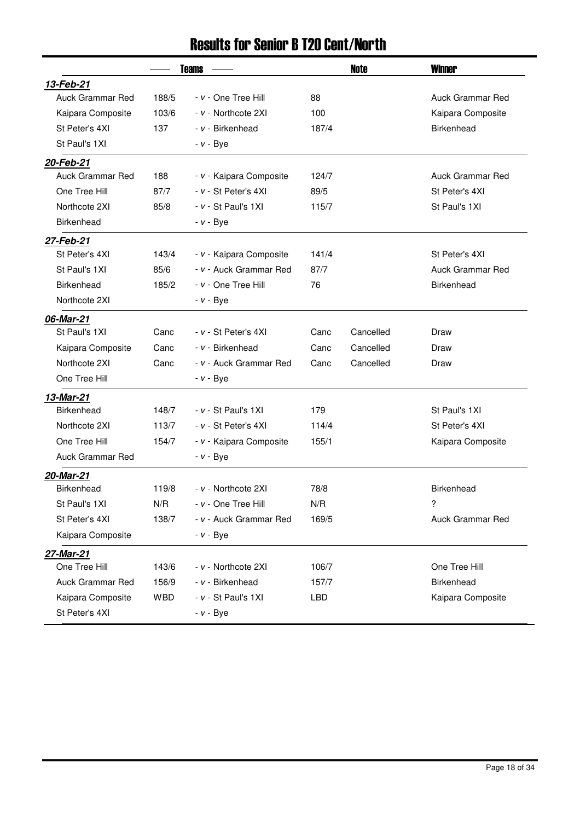### Results for Senior B T20 Cent/North

|                         |            | <b>Teams</b>            |       | <b>Note</b> | <b>Winner</b>           |
|-------------------------|------------|-------------------------|-------|-------------|-------------------------|
| 13-Feb-21               |            |                         |       |             |                         |
| <b>Auck Grammar Red</b> | 188/5      | - v - One Tree Hill     | 88    |             | <b>Auck Grammar Red</b> |
| Kaipara Composite       | 103/6      | - v - Northcote 2XI     | 100   |             | Kaipara Composite       |
| St Peter's 4XI          | 137        | - v - Birkenhead        | 187/4 |             | <b>Birkenhead</b>       |
| St Paul's 1XI           |            | $- v - Bye$             |       |             |                         |
| 20-Feb-21               |            |                         |       |             |                         |
| <b>Auck Grammar Red</b> | 188        | - v - Kaipara Composite | 124/7 |             | Auck Grammar Red        |
| One Tree Hill           | 87/7       | - v - St Peter's 4XI    | 89/5  |             | St Peter's 4XI          |
| Northcote 2XI           | 85/8       | $- v - St$ Paul's 1XI   | 115/7 |             | St Paul's 1XI           |
| <b>Birkenhead</b>       |            | $- v - Bye$             |       |             |                         |
| 27-Feb-21               |            |                         |       |             |                         |
| St Peter's 4XI          | 143/4      | - v - Kaipara Composite | 141/4 |             | St Peter's 4XI          |
| St Paul's 1XI           | 85/6       | - v - Auck Grammar Red  | 87/7  |             | <b>Auck Grammar Red</b> |
| <b>Birkenhead</b>       | 185/2      | - v - One Tree Hill     | 76    |             | <b>Birkenhead</b>       |
| Northcote 2XI           |            | $- v - Bye$             |       |             |                         |
| 06-Mar-21               |            |                         |       |             |                         |
| St Paul's 1XI           | Canc       | - v - St Peter's 4XI    | Canc  | Cancelled   | Draw                    |
| Kaipara Composite       | Canc       | - v - Birkenhead        | Canc  | Cancelled   | Draw                    |
| Northcote 2XI           | Canc       | - v - Auck Grammar Red  | Canc  | Cancelled   | Draw                    |
| One Tree Hill           |            | <i>- v -</i> Bye        |       |             |                         |
| 13-Mar-21               |            |                         |       |             |                         |
| <b>Birkenhead</b>       | 148/7      | $- v - St$ Paul's 1XI   | 179   |             | St Paul's 1XI           |
| Northcote 2XI           | 113/7      | - v - St Peter's 4XI    | 114/4 |             | St Peter's 4XI          |
| One Tree Hill           | 154/7      | - v - Kaipara Composite | 155/1 |             | Kaipara Composite       |
| Auck Grammar Red        |            | <i>- v -</i> Bye        |       |             |                         |
| 20-Mar-21               |            |                         |       |             |                         |
| Birkenhead              | 119/8      | - v - Northcote 2XI     | 78/8  |             | <b>Birkenhead</b>       |
| St Paul's 1XI           | N/R        | - v - One Tree Hill     | N/R   |             | ?                       |
| St Peter's 4XI          | 138/7      | - v - Auck Grammar Red  | 169/5 |             | Auck Grammar Red        |
| Kaipara Composite       |            | $- v - Bye$             |       |             |                         |
| 27-Mar-21               |            |                         |       |             |                         |
| One Tree Hill           | 143/6      | - v - Northcote 2XI     | 106/7 |             | One Tree Hill           |
| <b>Auck Grammar Red</b> | 156/9      | - v - Birkenhead        | 157/7 |             | <b>Birkenhead</b>       |
| Kaipara Composite       | <b>WBD</b> | $- v - St$ Paul's 1XI   | LBD   |             | Kaipara Composite       |
| St Peter's 4XI          |            | $- v - Bye$             |       |             |                         |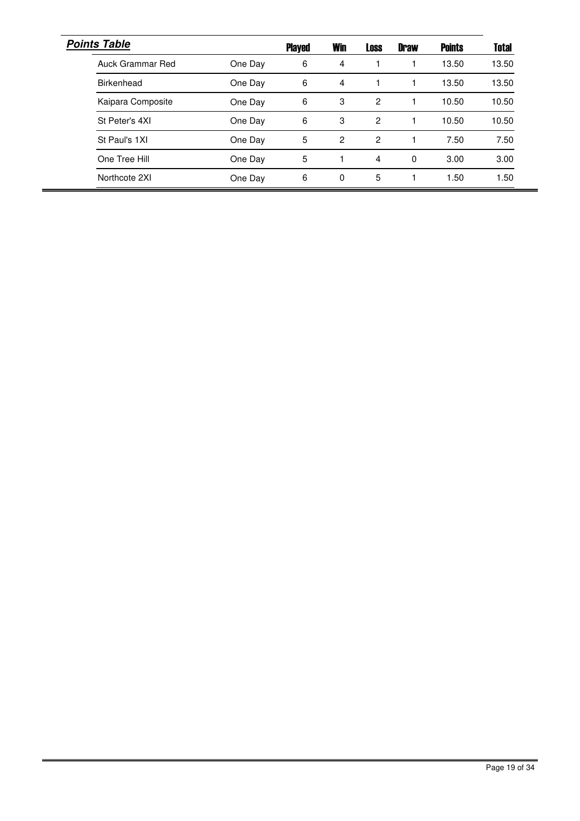| <b>Points Table</b> |         | <b>Played</b> | <b>Win</b>     | <b>Loss</b> | <b>Draw</b> | <b>Points</b> | <b>Total</b> |
|---------------------|---------|---------------|----------------|-------------|-------------|---------------|--------------|
| Auck Grammar Red    | One Day | 6             | 4              |             |             | 13.50         | 13.50        |
| Birkenhead          | One Day | 6             | 4              |             |             | 13.50         | 13.50        |
| Kaipara Composite   | One Day | 6             | 3              | 2           |             | 10.50         | 10.50        |
| St Peter's 4XI      | One Day | 6             | 3              | 2           |             | 10.50         | 10.50        |
| St Paul's 1XI       | One Day | 5             | $\overline{c}$ | 2           |             | 7.50          | 7.50         |
| One Tree Hill       | One Day | 5             |                | 4           | 0           | 3.00          | 3.00         |
| Northcote 2XI       | One Day | 6             | $\Omega$       | 5           |             | 1.50          | 1.50         |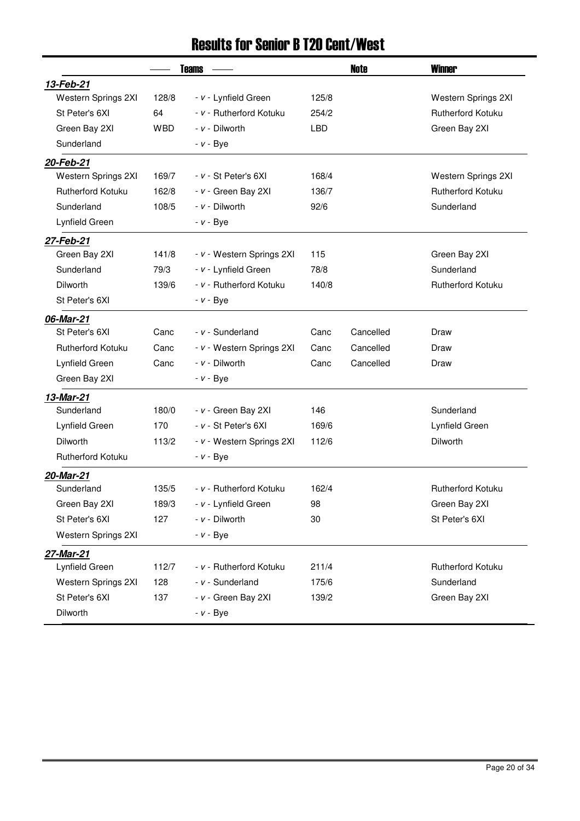## Results for Senior B T20 Cent/West

|                          |            | <b>Teams</b>              |            | Note      | <b>Winner</b>            |
|--------------------------|------------|---------------------------|------------|-----------|--------------------------|
| 13-Feb-21                |            |                           |            |           |                          |
| Western Springs 2XI      | 128/8      | - v - Lynfield Green      | 125/8      |           | Western Springs 2XI      |
| St Peter's 6XI           | 64         | - v - Rutherford Kotuku   | 254/2      |           | <b>Rutherford Kotuku</b> |
| Green Bay 2XI            | <b>WBD</b> | - v - Dilworth            | <b>LBD</b> |           | Green Bay 2XI            |
| Sunderland               |            | $- v - Bye$               |            |           |                          |
| 20-Feb-21                |            |                           |            |           |                          |
| Western Springs 2XI      | 169/7      | $- v - St$ Peter's $6XI$  | 168/4      |           | Western Springs 2XI      |
| <b>Rutherford Kotuku</b> | 162/8      | - v - Green Bay 2XI       | 136/7      |           | <b>Rutherford Kotuku</b> |
| Sunderland               | 108/5      | - v - Dilworth            | 92/6       |           | Sunderland               |
| Lynfield Green           |            | $- v - Bye$               |            |           |                          |
| 27-Feb-21                |            |                           |            |           |                          |
| Green Bay 2XI            | 141/8      | - v - Western Springs 2XI | 115        |           | Green Bay 2XI            |
| Sunderland               | 79/3       | - v - Lynfield Green      | 78/8       |           | Sunderland               |
| <b>Dilworth</b>          | 139/6      | - v - Rutherford Kotuku   | 140/8      |           | <b>Rutherford Kotuku</b> |
| St Peter's 6XI           |            | $- v - Bye$               |            |           |                          |
| 06-Mar-21                |            |                           |            |           |                          |
| St Peter's 6XI           | Canc       | - v - Sunderland          | Canc       | Cancelled | Draw                     |
| <b>Rutherford Kotuku</b> | Canc       | - v - Western Springs 2XI | Canc       | Cancelled | Draw                     |
| Lynfield Green           | Canc       | $- v -$ Dilworth          | Canc       | Cancelled | Draw                     |
| Green Bay 2XI            |            | $- v - Bye$               |            |           |                          |
| 13-Mar-21                |            |                           |            |           |                          |
| Sunderland               | 180/0      | - v - Green Bay 2XI       | 146        |           | Sunderland               |
| Lynfield Green           | 170        | - v - St Peter's 6XI      | 169/6      |           | Lynfield Green           |
| <b>Dilworth</b>          | 113/2      | - v - Western Springs 2XI | 112/6      |           | <b>Dilworth</b>          |
| <b>Rutherford Kotuku</b> |            | $- v - Bye$               |            |           |                          |
| 20-Mar-21                |            |                           |            |           |                          |
| Sunderland               | 135/5      | - v - Rutherford Kotuku   | 162/4      |           | <b>Rutherford Kotuku</b> |
| Green Bay 2XI            | 189/3      | - v - Lynfield Green      | 98         |           | Green Bay 2XI            |
| St Peter's 6XI           | 127        | - v - Dilworth            | 30         |           | St Peter's 6XI           |
| Western Springs 2XI      |            | $- v - Bye$               |            |           |                          |
| 27-Mar-21                |            |                           |            |           |                          |
| Lynfield Green           | 112/7      | - v - Rutherford Kotuku   | 211/4      |           | Rutherford Kotuku        |
| Western Springs 2XI      | 128        | - v - Sunderland          | 175/6      |           | Sunderland               |
| St Peter's 6XI           | 137        | - v - Green Bay 2XI       | 139/2      |           | Green Bay 2XI            |
| Dilworth                 |            | $- v - Bve$               |            |           |                          |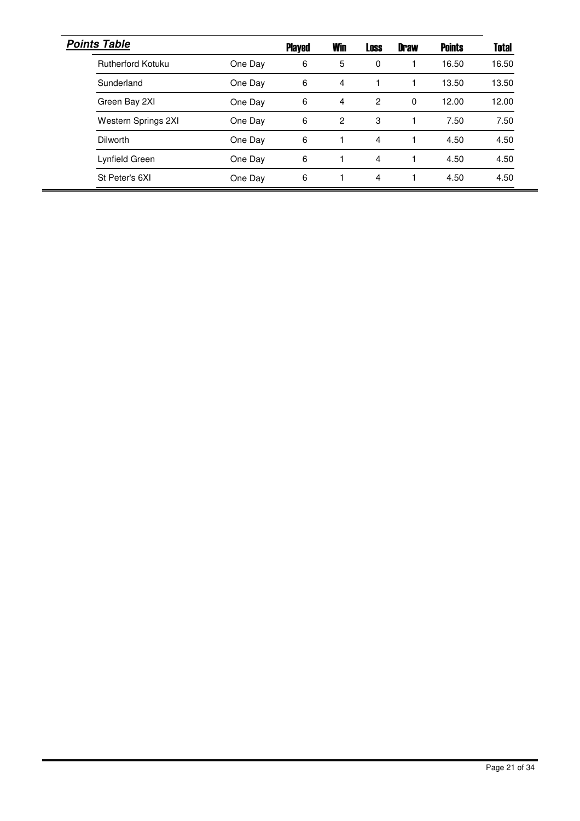| <b>Points Table</b> |         | <b>Played</b> | <b>Win</b>     | <b>Loss</b> | <b>Draw</b> | <b>Points</b> | <b>Total</b> |
|---------------------|---------|---------------|----------------|-------------|-------------|---------------|--------------|
| Rutherford Kotuku   | One Day | 6             | 5              | 0           |             | 16.50         | 16.50        |
| Sunderland          | One Day | 6             | 4              |             |             | 13.50         | 13.50        |
| Green Bay 2XI       | One Day | 6             | 4              | 2           | $\Omega$    | 12.00         | 12.00        |
| Western Springs 2XI | One Day | 6             | $\overline{c}$ | 3           |             | 7.50          | 7.50         |
| <b>Dilworth</b>     | One Day | 6             |                | 4           |             | 4.50          | 4.50         |
| Lynfield Green      | One Day | 6             |                | 4           |             | 4.50          | 4.50         |
| St Peter's 6XI      | One Day | 6             |                | 4           |             | 4.50          | 4.50         |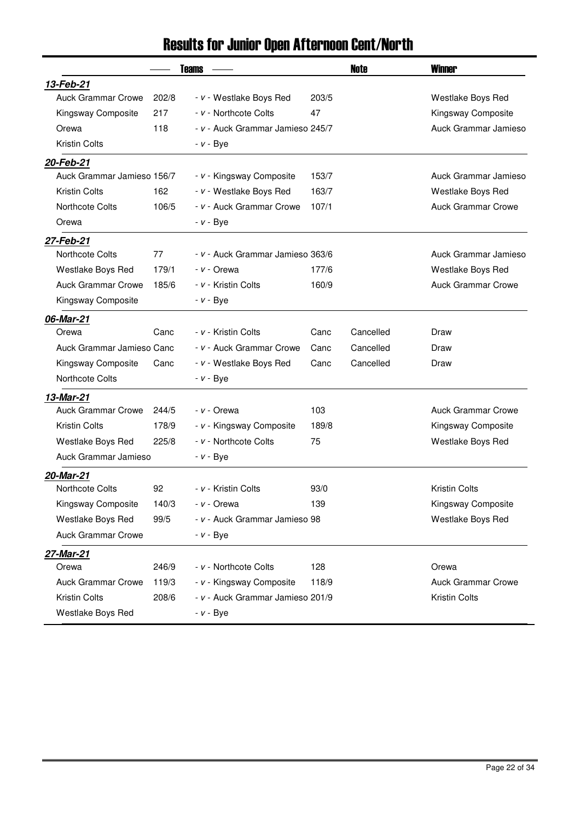## Results for Junior Open Afternoon Cent/North

|                            |       | <b>Teams</b>                     |       | <b>Note</b> | <b>Winner</b>             |
|----------------------------|-------|----------------------------------|-------|-------------|---------------------------|
| 13-Feb-21                  |       |                                  |       |             |                           |
| <b>Auck Grammar Crowe</b>  | 202/8 | - v - Westlake Boys Red          | 203/5 |             | Westlake Boys Red         |
| Kingsway Composite         | 217   | - v - Northcote Colts            | 47    |             | Kingsway Composite        |
| Orewa                      | 118   | - v - Auck Grammar Jamieso 245/7 |       |             | Auck Grammar Jamieso      |
| <b>Kristin Colts</b>       |       | $- v - Bye$                      |       |             |                           |
| 20-Feb-21                  |       |                                  |       |             |                           |
| Auck Grammar Jamieso 156/7 |       | - v - Kingsway Composite         | 153/7 |             | Auck Grammar Jamieso      |
| <b>Kristin Colts</b>       | 162   | - v - Westlake Boys Red          | 163/7 |             | Westlake Boys Red         |
| <b>Northcote Colts</b>     | 106/5 | - v - Auck Grammar Crowe         | 107/1 |             | <b>Auck Grammar Crowe</b> |
| Orewa                      |       | - <i>v</i> - Bye                 |       |             |                           |
| 27-Feb-21                  |       |                                  |       |             |                           |
| <b>Northcote Colts</b>     | 77    | - v - Auck Grammar Jamieso 363/6 |       |             | Auck Grammar Jamieso      |
| Westlake Boys Red          | 179/1 | - v - Orewa                      | 177/6 |             | Westlake Boys Red         |
| <b>Auck Grammar Crowe</b>  | 185/6 | - v - Kristin Colts              | 160/9 |             | <b>Auck Grammar Crowe</b> |
| Kingsway Composite         |       | <i>- v -</i> Bye                 |       |             |                           |
| 06-Mar-21                  |       |                                  |       |             |                           |
| Orewa                      | Canc  | - v - Kristin Colts              | Canc  | Cancelled   | Draw                      |
| Auck Grammar Jamieso Canc  |       | - v - Auck Grammar Crowe         | Canc  | Cancelled   | Draw                      |
| Kingsway Composite         | Canc  | - v - Westlake Boys Red          | Canc  | Cancelled   | Draw                      |
| Northcote Colts            |       | - <i>v</i> - Bye                 |       |             |                           |
| 13-Mar-21                  |       |                                  |       |             |                           |
| <b>Auck Grammar Crowe</b>  | 244/5 | - v - Orewa                      | 103   |             | <b>Auck Grammar Crowe</b> |
| <b>Kristin Colts</b>       | 178/9 | - v - Kingsway Composite         | 189/8 |             | Kingsway Composite        |
| Westlake Boys Red          | 225/8 | - v - Northcote Colts            | 75    |             | Westlake Boys Red         |
| Auck Grammar Jamieso       |       | <i>- v -</i> Bye                 |       |             |                           |
| 20-Mar-21                  |       |                                  |       |             |                           |
| Northcote Colts            | 92    | - v - Kristin Colts              | 93/0  |             | <b>Kristin Colts</b>      |
| Kingsway Composite         | 140/3 | - v - Orewa                      | 139   |             | Kingsway Composite        |
| Westlake Boys Red          | 99/5  | - v - Auck Grammar Jamieso 98    |       |             | Westlake Boys Red         |
| <b>Auck Grammar Crowe</b>  |       | $- v - Bye$                      |       |             |                           |
| <u>27-Mar-21</u>           |       |                                  |       |             |                           |
| Orewa                      | 246/9 | - v - Northcote Colts            | 128   |             | Orewa                     |
| <b>Auck Grammar Crowe</b>  | 119/3 | - v - Kingsway Composite         | 118/9 |             | <b>Auck Grammar Crowe</b> |
| <b>Kristin Colts</b>       | 208/6 | - v - Auck Grammar Jamieso 201/9 |       |             | Kristin Colts             |
| Westlake Boys Red          |       | $- v - Bye$                      |       |             |                           |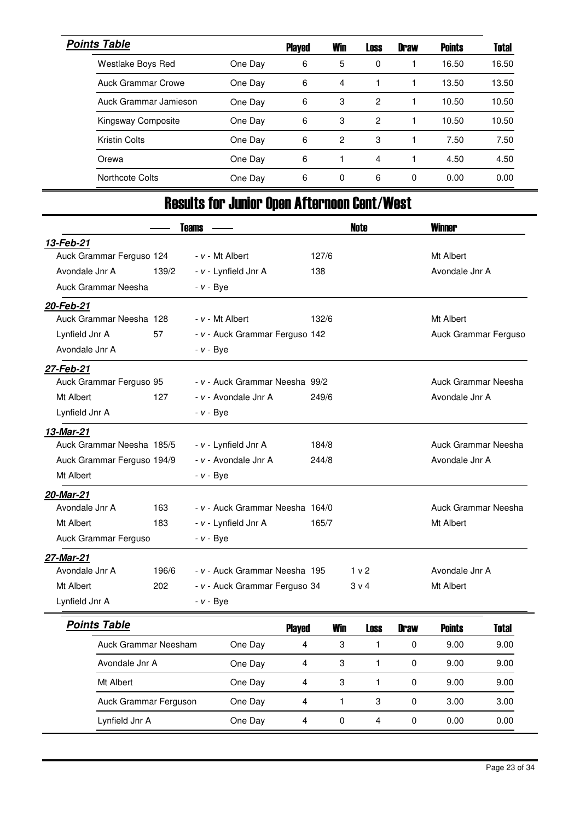| <b>Points Table</b>   |         | <b>Played</b> | <b>Win</b>     | <b>Loss</b> | <b>Draw</b> | <b>Points</b> | <b>Total</b> |
|-----------------------|---------|---------------|----------------|-------------|-------------|---------------|--------------|
| Westlake Boys Red     | One Day | 6             | 5              | 0           |             | 16.50         | 16.50        |
| Auck Grammar Crowe    | One Day | 6             | 4              |             |             | 13.50         | 13.50        |
| Auck Grammar Jamieson | One Day | 6             | 3              | 2           |             | 10.50         | 10.50        |
| Kingsway Composite    | One Day | 6             | 3              | 2           |             | 10.50         | 10.50        |
| <b>Kristin Colts</b>  | One Day | 6             | $\overline{c}$ | 3           |             | 7.50          | 7.50         |
| Orewa                 | One Day | 6             |                | 4           |             | 4.50          | 4.50         |
| Northcote Colts       | One Day | 6             | $\Omega$       | 6           | $\Omega$    | 0.00          | 0.00         |

## Results for Junior Open Afternoon Cent/West

|                            |       | <b>Teams</b>     |                                 |               |              | <b>Note</b>    |             | <b>Winner</b>        |              |
|----------------------------|-------|------------------|---------------------------------|---------------|--------------|----------------|-------------|----------------------|--------------|
| 13-Feb-21                  |       |                  |                                 |               |              |                |             |                      |              |
| Auck Grammar Ferguso 124   |       |                  | - v - Mt Albert                 |               | 127/6        |                |             | Mt Albert            |              |
| Avondale Jnr A             | 139/2 |                  | - v - Lynfield Jnr A            | 138           |              |                |             | Avondale Jnr A       |              |
| Auck Grammar Neesha        |       | - <i>v</i> - Bye |                                 |               |              |                |             |                      |              |
| 20-Feb-21                  |       |                  |                                 |               |              |                |             |                      |              |
| Auck Grammar Neesha 128    |       |                  | $- v - Mt$ Albert               |               | 132/6        |                |             | Mt Albert            |              |
| Lynfield Jnr A             | 57    |                  | - v - Auck Grammar Ferguso 142  |               |              |                |             | Auck Grammar Ferguso |              |
| Avondale Jnr A             |       | - <i>v</i> - Bye |                                 |               |              |                |             |                      |              |
| 27-Feb-21                  |       |                  |                                 |               |              |                |             |                      |              |
| Auck Grammar Ferguso 95    |       |                  | - v - Auck Grammar Neesha 99/2  |               |              |                |             | Auck Grammar Neesha  |              |
| Mt Albert                  | 127   |                  | - v - Avondale Jnr A            |               | 249/6        |                |             | Avondale Jnr A       |              |
| Lynfield Jnr A             |       | <i>- v -</i> Bye |                                 |               |              |                |             |                      |              |
| 13-Mar-21                  |       |                  |                                 |               |              |                |             |                      |              |
| Auck Grammar Neesha 185/5  |       |                  | - v - Lynfield Jnr A            |               | 184/8        |                |             | Auck Grammar Neesha  |              |
| Auck Grammar Ferguso 194/9 |       |                  | - v - Avondale Jnr A            |               | 244/8        |                |             | Avondale Jnr A       |              |
| Mt Albert                  |       | $- v - Bye$      |                                 |               |              |                |             |                      |              |
| 20-Mar-21                  |       |                  |                                 |               |              |                |             |                      |              |
| Avondale Jnr A             | 163   |                  | - v - Auck Grammar Neesha 164/0 |               |              |                |             | Auck Grammar Neesha  |              |
| Mt Albert                  | 183   |                  | - v - Lynfield Jnr A            |               | 165/7        |                |             | Mt Albert            |              |
| Auck Grammar Ferguso       |       | $- v - Bye$      |                                 |               |              |                |             |                      |              |
| 27-Mar-21                  |       |                  |                                 |               |              |                |             |                      |              |
| Avondale Jnr A             | 196/6 |                  | - v - Auck Grammar Neesha 195   |               |              | 1 v 2          |             | Avondale Jnr A       |              |
| Mt Albert                  | 202   |                  | - v - Auck Grammar Ferguso 34   |               |              | 3 <sub>v</sub> |             | Mt Albert            |              |
| Lynfield Jnr A             |       | $- v - Bye$      |                                 |               |              |                |             |                      |              |
| <b>Points Table</b>        |       |                  |                                 | <b>Played</b> | <b>Win</b>   | Loss           | <b>Draw</b> | <b>Points</b>        | <b>Total</b> |
| Auck Grammar Neesham       |       |                  | One Day                         | 4             | 3            | $\mathbf{1}$   | 0           | 9.00                 | 9.00         |
| Avondale Jnr A             |       |                  | One Day                         | 4             | 3            | $\mathbf{1}$   | 0           | 9.00                 | 9.00         |
| Mt Albert                  |       |                  | One Day                         | 4             | 3            | 1              | 0           | 9.00                 | 9.00         |
| Auck Grammar Ferguson      |       |                  | One Day                         | 4             | $\mathbf{1}$ | 3              | 0           | 3.00                 | 3.00         |
| Lynfield Jnr A             |       |                  | One Day                         | 4             | 0            | 4              | $\Omega$    | 0.00                 | 0.00         |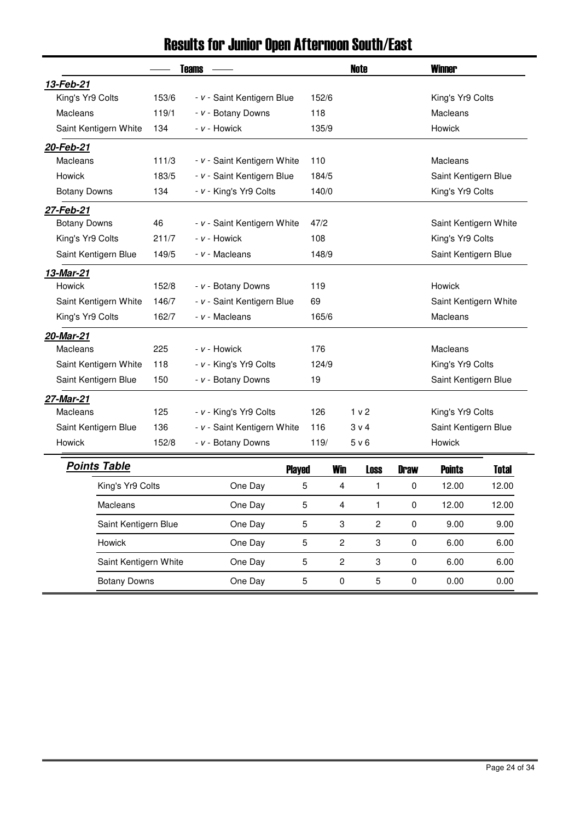|                       | <b>Teams</b> |                             |            | <b>Note</b>    | <b>Winner</b> |                       |              |
|-----------------------|--------------|-----------------------------|------------|----------------|---------------|-----------------------|--------------|
| 13-Feb-21             |              |                             |            |                |               |                       |              |
| King's Yr9 Colts      | 153/6        | - v - Saint Kentigern Blue  | 152/6      |                |               | King's Yr9 Colts      |              |
| <b>Macleans</b>       | 119/1        | - v - Botany Downs          | 118        |                |               | Macleans              |              |
| Saint Kentigern White | 134          | - v - Howick                | 135/9      |                | Howick        |                       |              |
| 20-Feb-21             |              |                             |            |                |               |                       |              |
| <b>Macleans</b>       | 111/3        | - v - Saint Kentigern White | 110        |                |               | Macleans              |              |
| Howick                | 183/5        | - v - Saint Kentigern Blue  | 184/5      |                |               | Saint Kentigern Blue  |              |
| <b>Botany Downs</b>   | 134          | - v - King's Yr9 Colts      | 140/0      |                |               | King's Yr9 Colts      |              |
| 27-Feb-21             |              |                             |            |                |               |                       |              |
| <b>Botany Downs</b>   | 46           | - v - Saint Kentigern White | 47/2       |                |               | Saint Kentigern White |              |
| King's Yr9 Colts      | 211/7        | - v - Howick                | 108        |                |               | King's Yr9 Colts      |              |
| Saint Kentigern Blue  | 149/5        | - v - Macleans              | 148/9      |                |               | Saint Kentigern Blue  |              |
| 13-Mar-21             |              |                             |            |                |               |                       |              |
| <b>Howick</b>         | 152/8        | - v - Botany Downs          | 119        |                |               | Howick                |              |
| Saint Kentigern White | 146/7        | - v - Saint Kentigern Blue  | 69         |                |               | Saint Kentigern White |              |
| King's Yr9 Colts      | 162/7        | - v - Macleans              | 165/6      |                |               | Macleans              |              |
| 20-Mar-21             |              |                             |            |                |               |                       |              |
| <b>Macleans</b>       | 225          | - v - Howick                | 176        |                |               | Macleans              |              |
| Saint Kentigern White | 118          | - v - King's Yr9 Colts      | 124/9      |                |               | King's Yr9 Colts      |              |
| Saint Kentigern Blue  | 150          | - v - Botany Downs          | 19         |                |               | Saint Kentigern Blue  |              |
| 27-Mar-21             |              |                             |            |                |               |                       |              |
| <b>Macleans</b>       | 125          | - v - King's Yr9 Colts      | 126        | 1 <sub>v</sub> |               | King's Yr9 Colts      |              |
| Saint Kentigern Blue  | 136          | - v - Saint Kentigern White | 116        | 3 v 4          |               | Saint Kentigern Blue  |              |
| Howick                | 152/8        | - v - Botany Downs          | 119/       | 5 v 6          |               | Howick                |              |
| <b>Points Table</b>   |              | <b>Played</b>               | <b>Win</b> | <b>Loss</b>    | <b>Draw</b>   | <b>Points</b>         | <b>Total</b> |
| King's Yr9 Colts      |              | One Day                     | 5<br>4     | 1              | 0             | 12.00                 | 12.00        |

Macleans 5 4 1 0 12.00 One Day 12.00 Saint Kentigern Blue **5** 3 2 0 9.00 9.00

Howick 5 2 3 0 6.00 One Day 6.00 Saint Kentigern White 5 2 3 0 6.00 One Day 6.00 Botany Downs **5** 0 0.00 0.00 0.00 0.00

### Results for Junior Open Afternoon South/East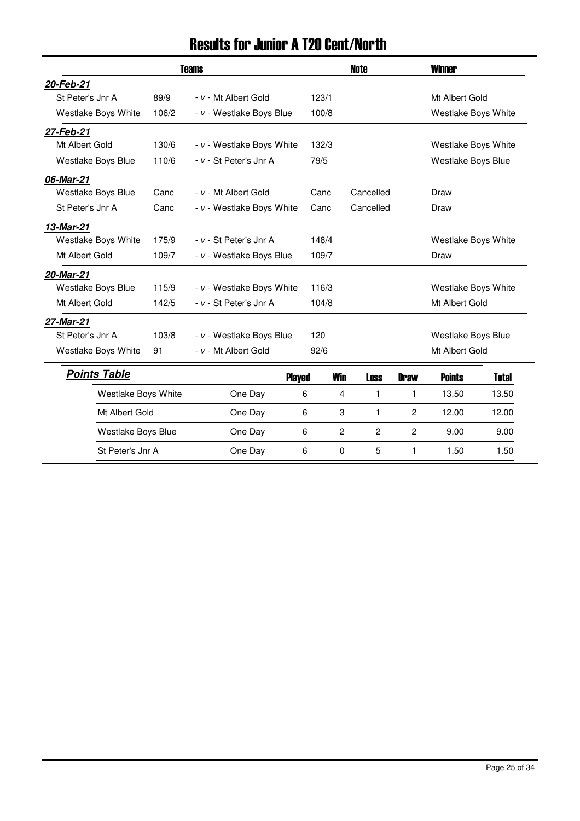## Results for Junior A T20 Cent/North

|                     |       | <b>Teams</b>              |       |            | <b>Note</b>    |                | <b>Winner</b>       |       |  |
|---------------------|-------|---------------------------|-------|------------|----------------|----------------|---------------------|-------|--|
| 20-Feb-21           |       |                           |       |            |                |                |                     |       |  |
| St Peter's Jnr A    | 89/9  | - v - Mt Albert Gold      | 123/1 |            |                |                | Mt Albert Gold      |       |  |
| Westlake Boys White | 106/2 | - v - Westlake Boys Blue  | 100/8 |            |                |                | Westlake Boys White |       |  |
| 27-Feb-21           |       |                           |       |            |                |                |                     |       |  |
| Mt Albert Gold      | 130/6 | - v - Westlake Boys White | 132/3 |            |                |                | Westlake Boys White |       |  |
| Westlake Boys Blue  | 110/6 | - v - St Peter's Jnr A    | 79/5  |            |                |                | Westlake Boys Blue  |       |  |
| 06-Mar-21           |       |                           |       |            |                |                |                     |       |  |
| Westlake Boys Blue  | Canc  | - v - Mt Albert Gold      | Canc  |            | Cancelled      |                | Draw                |       |  |
| St Peter's Jnr A    | Canc  | - v - Westlake Boys White | Canc  |            | Cancelled      |                | Draw                |       |  |
| 13-Mar-21           |       |                           |       |            |                |                |                     |       |  |
| Westlake Boys White | 175/9 | - v - St Peter's Jnr A    | 148/4 |            |                |                | Westlake Boys White |       |  |
| Mt Albert Gold      | 109/7 | - v - Westlake Boys Blue  | 109/7 |            | Draw           |                |                     |       |  |
| 20-Mar-21           |       |                           |       |            |                |                |                     |       |  |
| Westlake Boys Blue  | 115/9 | - v - Westlake Boys White | 116/3 |            |                |                | Westlake Boys White |       |  |
| Mt Albert Gold      | 142/5 | - v - St Peter's Jnr A    | 104/8 |            |                |                | Mt Albert Gold      |       |  |
| 27-Mar-21           |       |                           |       |            |                |                |                     |       |  |
| St Peter's Jnr A    | 103/8 | - v - Westlake Boys Blue  | 120   |            |                |                | Westlake Boys Blue  |       |  |
| Westlake Boys White | 91    | - v - Mt Albert Gold      | 92/6  |            |                |                | Mt Albert Gold      |       |  |
| <b>Points Table</b> |       | <b>Played</b>             |       | <b>Win</b> | Loss           | <b>Draw</b>    | <b>Points</b>       | Total |  |
| Westlake Boys White |       | One Day                   | 6     | 4          | 1              | 1              | 13.50               | 13.50 |  |
| Mt Albert Gold      |       | One Day                   | 6     | 3          | 1              | 2              | 12.00               | 12.00 |  |
| Westlake Boys Blue  |       | One Day                   | 6     | 2          | $\overline{c}$ | $\overline{c}$ | 9.00                | 9.00  |  |
| St Peter's Jnr A    |       | One Day                   | 6     | 0          | 5              | 1              | 1.50                | 1.50  |  |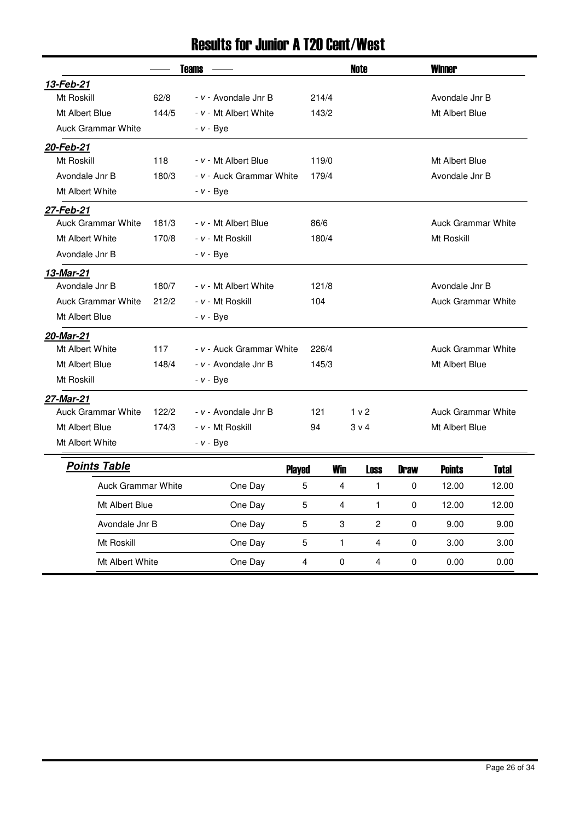### Results for Junior A T20 Cent/West

|                           | <b>Teams</b> |                          |               |            | <b>Note</b>      |             | <b>Winner</b>             |       |  |
|---------------------------|--------------|--------------------------|---------------|------------|------------------|-------------|---------------------------|-------|--|
| 13-Feb-21                 |              |                          |               |            |                  |             |                           |       |  |
| Mt Roskill                | 62/8         | - v - Avondale Jnr B     | 214/4         |            |                  |             | Avondale Jnr B            |       |  |
| Mt Albert Blue            | 144/5        | - v - Mt Albert White    | 143/2         |            |                  |             | Mt Albert Blue            |       |  |
| <b>Auck Grammar White</b> |              | - v - Bye                |               |            |                  |             |                           |       |  |
| 20-Feb-21                 |              |                          |               |            |                  |             |                           |       |  |
| Mt Roskill                | 118          | - v - Mt Albert Blue     | 119/0         |            |                  |             | Mt Albert Blue            |       |  |
| Avondale Jnr B            | 180/3        | - v - Auck Grammar White | 179/4         |            |                  |             | Avondale Jnr B            |       |  |
| Mt Albert White           |              | - <i>v</i> - Bye         |               |            |                  |             |                           |       |  |
| 27-Feb-21                 |              |                          |               |            |                  |             |                           |       |  |
| <b>Auck Grammar White</b> | 181/3        | - v - Mt Albert Blue     | 86/6          |            |                  |             | <b>Auck Grammar White</b> |       |  |
| Mt Albert White           | 170/8        | - v - Mt Roskill         | 180/4         |            |                  |             | Mt Roskill                |       |  |
| Avondale Jnr B            |              | <i>- v -</i> Bye         |               |            |                  |             |                           |       |  |
| 13-Mar-21                 |              |                          |               |            |                  |             |                           |       |  |
| Avondale Jnr B            | 180/7        | - v - Mt Albert White    | 121/8         |            |                  |             | Avondale Jnr B            |       |  |
| <b>Auck Grammar White</b> | 212/2        | - v - Mt Roskill         | 104           |            |                  |             | <b>Auck Grammar White</b> |       |  |
| Mt Albert Blue            |              | - <i>v</i> - Bye         |               |            |                  |             |                           |       |  |
| 20-Mar-21                 |              |                          |               |            |                  |             |                           |       |  |
| Mt Albert White           | 117          | - v - Auck Grammar White | 226/4         |            |                  |             | <b>Auck Grammar White</b> |       |  |
| Mt Albert Blue            | 148/4        | - v - Avondale Jnr B     | 145/3         |            |                  |             | Mt Albert Blue            |       |  |
| Mt Roskill                |              | <i>- v -</i> Bye         |               |            |                  |             |                           |       |  |
| 27-Mar-21                 |              |                          |               |            |                  |             |                           |       |  |
| <b>Auck Grammar White</b> | 122/2        | - v - Avondale Jnr B     | 121           |            | 1 <sub>v</sub> 2 |             | <b>Auck Grammar White</b> |       |  |
| Mt Albert Blue            | 174/3        | - v - Mt Roskill         | 94            |            | $3 \vee 4$       |             | Mt Albert Blue            |       |  |
| Mt Albert White           |              | - <i>v</i> - Bye         |               |            |                  |             |                           |       |  |
| <b>Points Table</b>       |              |                          | <b>Played</b> | <b>Win</b> | Loss             | <b>Draw</b> | <b>Points</b>             | Total |  |
| <b>Auck Grammar White</b> |              | One Day                  | 5             | 4          | $\mathbf{1}$     | 0           | 12.00                     | 12.00 |  |
| Mt Albert Blue            |              | One Day                  | 5             | 4          | 1                | 0           | 12.00                     | 12.00 |  |
| Avondale Jnr B            |              | One Day                  | 5             | 3          | $\overline{c}$   | 0           | 9.00                      | 9.00  |  |
| Mt Roskill                |              | One Day                  | 5             | 1          | 4                | 0           | 3.00                      | 3.00  |  |
| Mt Albert White           |              | One Day                  | 4             | $\Omega$   | 4                | 0           | 0.00                      | 0.00  |  |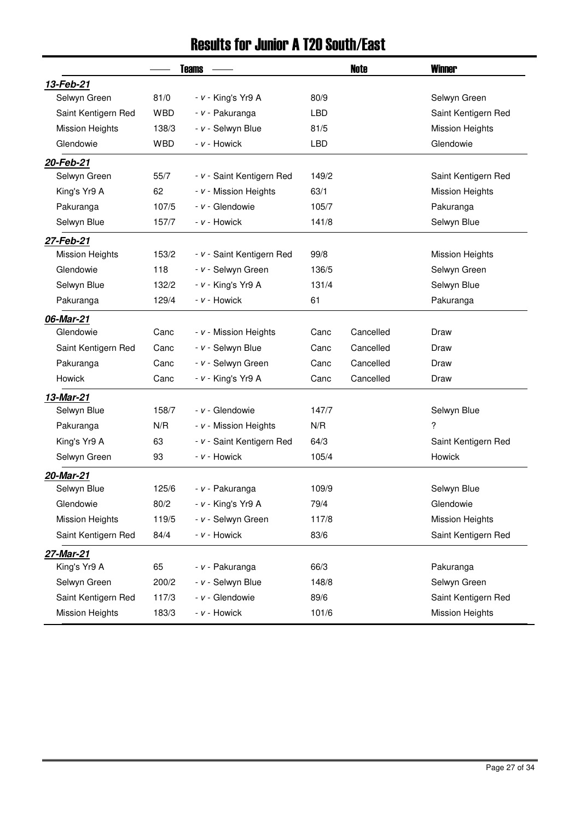## Results for Junior A T20 South/East

|                        |            | <b>Teams</b>              |            | <b>Note</b> | <b>Winner</b>          |
|------------------------|------------|---------------------------|------------|-------------|------------------------|
| 13-Feb-21              |            |                           |            |             |                        |
| Selwyn Green           | 81/0       | - v - King's Yr9 A        | 80/9       |             | Selwyn Green           |
| Saint Kentigern Red    | <b>WBD</b> | - v - Pakuranga           | <b>LBD</b> |             | Saint Kentigern Red    |
| <b>Mission Heights</b> | 138/3      | - v - Selwyn Blue         | 81/5       |             | <b>Mission Heights</b> |
| Glendowie              | <b>WBD</b> | - v - Howick              | <b>LBD</b> |             | Glendowie              |
| 20-Feb-21              |            |                           |            |             |                        |
| Selwyn Green           | 55/7       | - v - Saint Kentigern Red | 149/2      |             | Saint Kentigern Red    |
| King's Yr9 A           | 62         | - v - Mission Heights     | 63/1       |             | <b>Mission Heights</b> |
| Pakuranga              | 107/5      | - v - Glendowie           | 105/7      |             | Pakuranga              |
| Selwyn Blue            | 157/7      | - v - Howick              | 141/8      |             | Selwyn Blue            |
| 27-Feb-21              |            |                           |            |             |                        |
| <b>Mission Heights</b> | 153/2      | - v - Saint Kentigern Red | 99/8       |             | <b>Mission Heights</b> |
| Glendowie              | 118        | - v - Selwyn Green        | 136/5      |             | Selwyn Green           |
| Selwyn Blue            | 132/2      | - v - King's Yr9 A        | 131/4      |             | Selwyn Blue            |
| Pakuranga              | 129/4      | - v - Howick              | 61         |             | Pakuranga              |
| 06-Mar-21              |            |                           |            |             |                        |
| Glendowie              | Canc       | - v - Mission Heights     | Canc       | Cancelled   | Draw                   |
| Saint Kentigern Red    | Canc       | - v - Selwyn Blue         | Canc       | Cancelled   | Draw                   |
| Pakuranga              | Canc       | - v - Selwyn Green        | Canc       | Cancelled   | Draw                   |
| Howick                 | Canc       | - v - King's Yr9 A        | Canc       | Cancelled   | Draw                   |
| 13-Mar-21              |            |                           |            |             |                        |
| Selwyn Blue            | 158/7      | - v - Glendowie           | 147/7      |             | Selwyn Blue            |
| Pakuranga              | N/R        | - v - Mission Heights     | N/R        |             | ?                      |
| King's Yr9 A           | 63         | - v - Saint Kentigern Red | 64/3       |             | Saint Kentigern Red    |
| Selwyn Green           | 93         | - v - Howick              | 105/4      |             | <b>Howick</b>          |
| 20-Mar-21              |            |                           |            |             |                        |
| Selwyn Blue            | 125/6      | - v - Pakuranga           | 109/9      |             | Selwyn Blue            |
| Glendowie              | 80/2       | $- v -$ King's Yr9 A      | 79/4       |             | Glendowie              |
| <b>Mission Heights</b> | 119/5      | - v - Selwyn Green        | 117/8      |             | <b>Mission Heights</b> |
| Saint Kentigern Red    | 84/4       | - v - Howick              | 83/6       |             | Saint Kentigern Red    |
| 27-Mar-21              |            |                           |            |             |                        |
| King's Yr9 A           | 65         | - v - Pakuranga           | 66/3       |             | Pakuranga              |
| Selwyn Green           | 200/2      | - v - Selwyn Blue         | 148/8      |             | Selwyn Green           |
| Saint Kentigern Red    | 117/3      | - v - Glendowie           | 89/6       |             | Saint Kentigern Red    |
| <b>Mission Heights</b> | 183/3      | - v - Howick              | 101/6      |             | <b>Mission Heights</b> |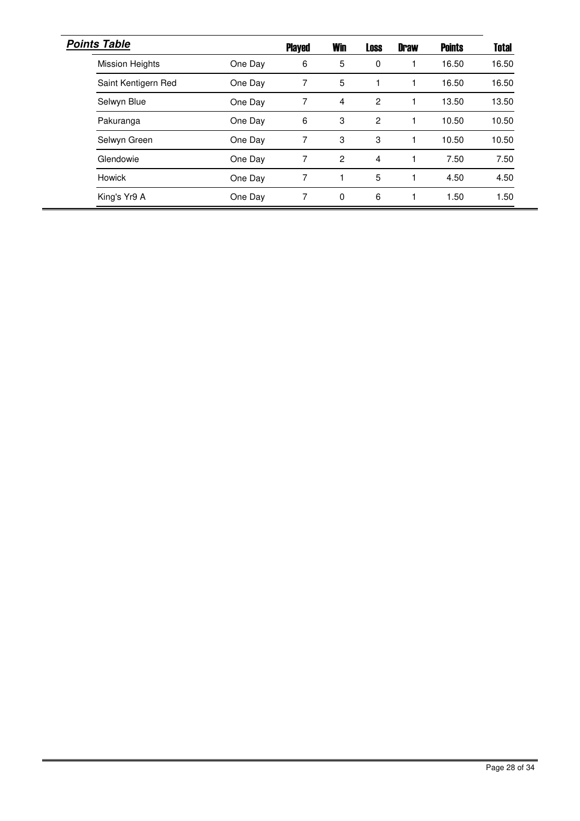| <b>Points Table</b>    |         | <b>Played</b> | <b>Win</b>     | <b>Loss</b>    | <b>Draw</b> | <b>Points</b> | <b>Total</b> |
|------------------------|---------|---------------|----------------|----------------|-------------|---------------|--------------|
| <b>Mission Heights</b> | One Day | 6             | 5              | 0              |             | 16.50         | 16.50        |
| Saint Kentigern Red    | One Day | 7             | 5              |                |             | 16.50         | 16.50        |
| Selwyn Blue            | One Day | 7             | 4              | 2              |             | 13.50         | 13.50        |
| Pakuranga              | One Day | 6             | 3              | $\overline{c}$ |             | 10.50         | 10.50        |
| Selwyn Green           | One Day | 7             | 3              | 3              |             | 10.50         | 10.50        |
| Glendowie              | One Day | 7             | $\overline{2}$ | 4              |             | 7.50          | 7.50         |
| <b>Howick</b>          | One Day |               |                | 5              |             | 4.50          | 4.50         |
| King's Yr9 A           | One Day | 7             | 0              | 6              |             | 1.50          | 1.50         |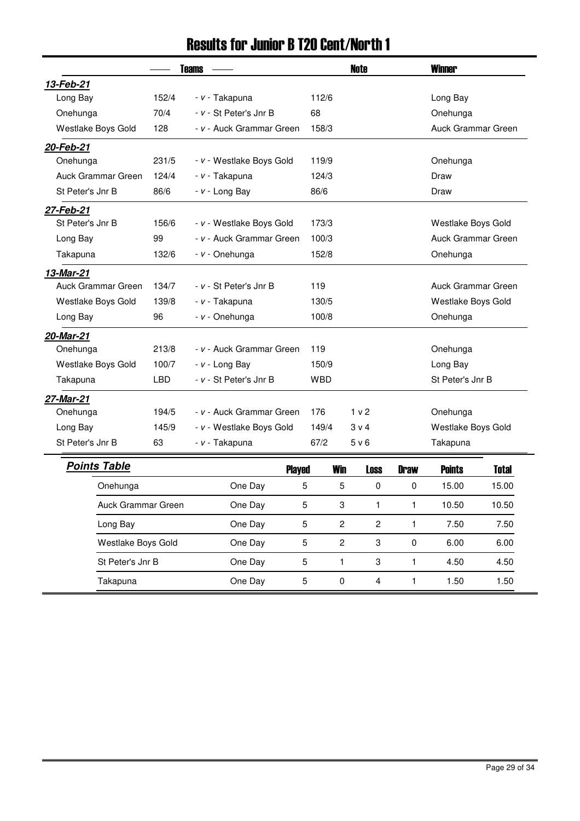## Results for Junior B T20 Cent/North 1

|                           |            | <b>Teams</b>             |                   | <b>Note</b>    |             | <b>Winner</b>      |              |  |
|---------------------------|------------|--------------------------|-------------------|----------------|-------------|--------------------|--------------|--|
| 13-Feb-21                 |            |                          |                   |                |             |                    |              |  |
| Long Bay                  | 152/4      | - v - Takapuna           | 112/6             |                |             | Long Bay           |              |  |
| Onehunga                  | 70/4       | - v - St Peter's Jnr B   | 68                |                |             | Onehunga           |              |  |
| Westlake Boys Gold        | 128        | - v - Auck Grammar Green | 158/3             |                |             | Auck Grammar Green |              |  |
| 20-Feb-21                 |            |                          |                   |                |             |                    |              |  |
| Onehunga                  | 231/5      | - v - Westlake Boys Gold | 119/9             |                |             | Onehunga           |              |  |
| <b>Auck Grammar Green</b> | 124/4      | - v - Takapuna           | 124/3             |                |             | Draw               |              |  |
| St Peter's Jnr B          | 86/6       | $- v -$ Long Bay         | 86/6              |                |             | Draw               |              |  |
| 27-Feb-21                 |            |                          |                   |                |             |                    |              |  |
| St Peter's Jnr B          | 156/6      | - v - Westlake Boys Gold | 173/3             |                |             | Westlake Boys Gold |              |  |
| Long Bay                  | 99         | - v - Auck Grammar Green | 100/3             |                |             | Auck Grammar Green |              |  |
| Takapuna                  | 132/6      | - v - Onehunga           | 152/8             |                |             | Onehunga           |              |  |
| 13-Mar-21                 |            |                          |                   |                |             |                    |              |  |
| Auck Grammar Green        | 134/7      | - v - St Peter's Jnr B   | 119               |                |             | Auck Grammar Green |              |  |
| Westlake Boys Gold        | 139/8      | - v - Takapuna           | 130/5             |                |             | Westlake Boys Gold |              |  |
| Long Bay                  | 96         | - v - Onehunga           | 100/8             |                |             | Onehunga           |              |  |
| 20-Mar-21                 |            |                          |                   |                |             |                    |              |  |
| Onehunga                  | 213/8      | - v - Auck Grammar Green | 119               |                |             | Onehunga           |              |  |
| Westlake Boys Gold        | 100/7      | $- v -$ Long Bay         | 150/9             |                |             | Long Bay           |              |  |
| Takapuna                  | <b>LBD</b> | - v - St Peter's Jnr B   | <b>WBD</b>        |                |             | St Peter's Jnr B   |              |  |
| 27-Mar-21                 |            |                          |                   |                |             |                    |              |  |
| Onehunga                  | 194/5      | - v - Auck Grammar Green | 176               | 1 v 2          |             | Onehunga           |              |  |
| Long Bay                  | 145/9      | - v - Westlake Boys Gold | 149/4             | 3 v 4          |             | Westlake Boys Gold |              |  |
| St Peter's Jnr B          | 63         | - v - Takapuna           | 67/2              | 5 v 6          |             | Takapuna           |              |  |
| <b>Points Table</b>       |            | <b>Played</b>            | <b>Win</b>        | <b>Loss</b>    | <b>Draw</b> | <b>Points</b>      | <b>Total</b> |  |
| Onehunga                  |            | One Day                  | 5<br>5            | 0              | 0           | 15.00              | 15.00        |  |
| Auck Grammar Green        |            | One Day                  | 5<br>3            | 1              | 1           | 10.50              | 10.50        |  |
| Long Bay                  |            | One Day                  | 5<br>$\mathbf{2}$ | $\overline{c}$ | 1           | 7.50               | 7.50         |  |
| Westlake Boys Gold        |            | One Day                  | $\mathbf{2}$<br>5 | 3              | $\pmb{0}$   | 6.00               | 6.00         |  |
| St Peter's Jnr B          |            | One Day                  | 5<br>$\mathbf{1}$ | 3              | 1           | 4.50               | 4.50         |  |

Takapuna 5 0 4 1 1.50 One Day 1.50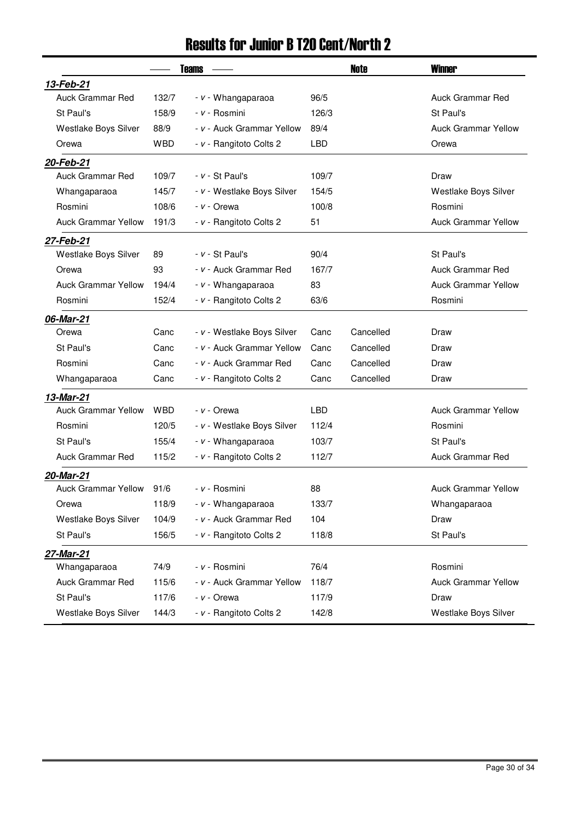### Results for Junior B T20 Cent/North 2

|                            |            | <b>Teams</b>               |            | Note      | <b>Winner</b>              |
|----------------------------|------------|----------------------------|------------|-----------|----------------------------|
| 13-Feb-21                  |            |                            |            |           |                            |
| <b>Auck Grammar Red</b>    | 132/7      | - v - Whangaparaoa         | 96/5       |           | <b>Auck Grammar Red</b>    |
| St Paul's                  | 158/9      | - v - Rosmini              | 126/3      |           | St Paul's                  |
| Westlake Boys Silver       | 88/9       | - v - Auck Grammar Yellow  | 89/4       |           | <b>Auck Grammar Yellow</b> |
| Orewa                      | <b>WBD</b> | - v - Rangitoto Colts 2    | <b>LBD</b> |           | Orewa                      |
| 20-Feb-21                  |            |                            |            |           |                            |
| <b>Auck Grammar Red</b>    | 109/7      | $- v - St$ Paul's          | 109/7      |           | Draw                       |
| Whangaparaoa               | 145/7      | - v - Westlake Boys Silver | 154/5      |           | Westlake Boys Silver       |
| Rosmini                    | 108/6      | - v - Orewa                | 100/8      |           | Rosmini                    |
| <b>Auck Grammar Yellow</b> | 191/3      | - v - Rangitoto Colts 2    | 51         |           | <b>Auck Grammar Yellow</b> |
| 27-Feb-21                  |            |                            |            |           |                            |
| Westlake Boys Silver       | 89         | $- v - St$ Paul's          | 90/4       |           | St Paul's                  |
| Orewa                      | 93         | - v - Auck Grammar Red     | 167/7      |           | <b>Auck Grammar Red</b>    |
| <b>Auck Grammar Yellow</b> | 194/4      | - v - Whangaparaoa         | 83         |           | <b>Auck Grammar Yellow</b> |
| Rosmini                    | 152/4      | - v - Rangitoto Colts 2    | 63/6       |           | Rosmini                    |
| 06-Mar-21                  |            |                            |            |           |                            |
| Orewa                      | Canc       | - v - Westlake Boys Silver | Canc       | Cancelled | Draw                       |
| St Paul's                  | Canc       | - v - Auck Grammar Yellow  | Canc       | Cancelled | Draw                       |
| Rosmini                    | Canc       | - v - Auck Grammar Red     | Canc       | Cancelled | Draw                       |
| Whangaparaoa               | Canc       | - v - Rangitoto Colts 2    | Canc       | Cancelled | Draw                       |
| 13-Mar-21                  |            |                            |            |           |                            |
| <b>Auck Grammar Yellow</b> | <b>WBD</b> | <i>- v -</i> Orewa         | <b>LBD</b> |           | <b>Auck Grammar Yellow</b> |
| Rosmini                    | 120/5      | - v - Westlake Boys Silver | 112/4      |           | Rosmini                    |
| St Paul's                  | 155/4      | - v - Whangaparaoa         | 103/7      |           | St Paul's                  |
| Auck Grammar Red           | 115/2      | - v - Rangitoto Colts 2    | 112/7      |           | Auck Grammar Red           |
| 20-Mar-21                  |            |                            |            |           |                            |
| <b>Auck Grammar Yellow</b> | 91/6       | - v - Rosmini              | 88         |           | <b>Auck Grammar Yellow</b> |
| Orewa                      | 118/9      | - v - Whangaparaoa         | 133/7      |           | Whangaparaoa               |
| Westlake Boys Silver       | 104/9      | - v - Auck Grammar Red     | 104        |           | Draw                       |
| St Paul's                  | 156/5      | - v - Rangitoto Colts 2    | 118/8      |           | St Paul's                  |
| 27-Mar-21                  |            |                            |            |           |                            |
| Whangaparaoa               | 74/9       | - v - Rosmini              | 76/4       |           | Rosmini                    |
| <b>Auck Grammar Red</b>    | 115/6      | - v - Auck Grammar Yellow  | 118/7      |           | <b>Auck Grammar Yellow</b> |
| St Paul's                  | 117/6      | $- v -$ Orewa              | 117/9      |           | Draw                       |
| Westlake Boys Silver       | 144/3      | - v - Rangitoto Colts 2    | 142/8      |           | Westlake Boys Silver       |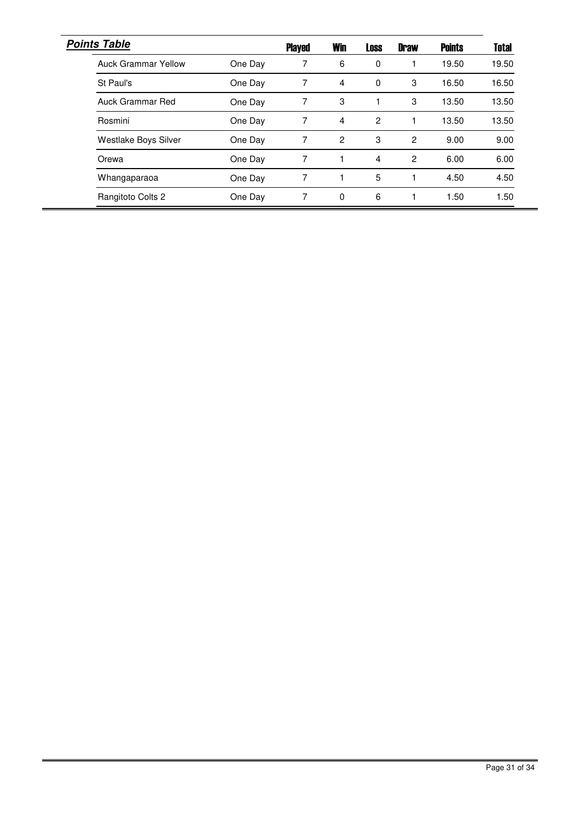| <b>Points Table</b>        |         | <b>Played</b> | <b>Win</b> | <b>Loss</b> | <b>Draw</b>    | <b>Points</b> | <b>Total</b> |
|----------------------------|---------|---------------|------------|-------------|----------------|---------------|--------------|
| <b>Auck Grammar Yellow</b> | One Day |               | 6          | 0           |                | 19.50         | 19.50        |
| St Paul's                  | One Day |               | 4          | $\Omega$    | 3              | 16.50         | 16.50        |
| Auck Grammar Red           | One Day |               | 3          |             | 3              | 13.50         | 13.50        |
| Rosmini                    | One Day | 7             | 4          | 2           |                | 13.50         | 13.50        |
| Westlake Boys Silver       | One Day | 7             | 2          | 3           | $\overline{c}$ | 9.00          | 9.00         |
| Orewa                      | One Day | 7             |            | 4           | 2              | 6.00          | 6.00         |
| Whangaparaoa               | One Day |               |            | 5           |                | 4.50          | 4.50         |
| Rangitoto Colts 2          | One Day |               | 0          | 6           |                | 1.50          | .50          |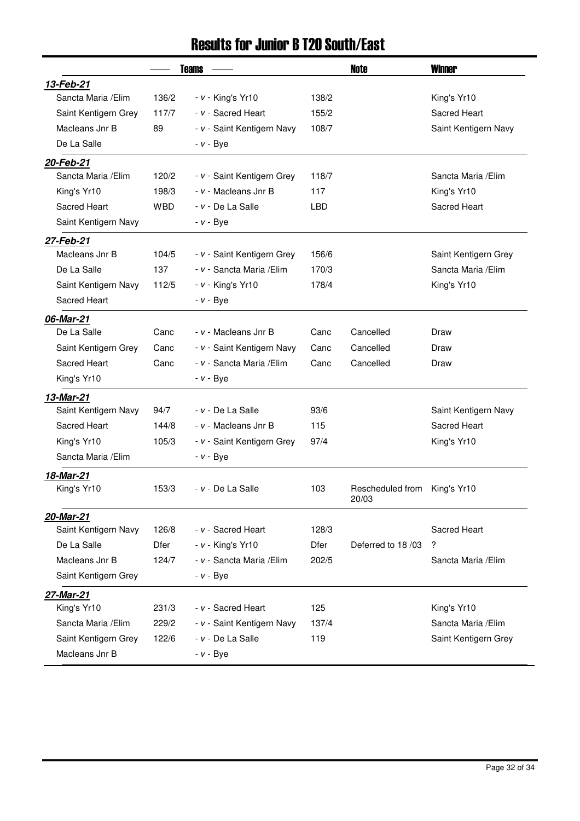## Results for Junior B T20 South/East

|                      |            | <b>Teams</b>               |                                                  | <b>Note</b>               | <b>Winner</b>        |
|----------------------|------------|----------------------------|--------------------------------------------------|---------------------------|----------------------|
| 13-Feb-21            |            |                            |                                                  |                           |                      |
| Sancta Maria / Elim  | 136/2      | $- v -$ King's Yr10        | 138/2                                            |                           | King's Yr10          |
| Saint Kentigern Grey | 117/7      | - v - Sacred Heart         | 155/2                                            |                           | Sacred Heart         |
| Macleans Jnr B       | 89         | - v - Saint Kentigern Navy | 108/7                                            |                           | Saint Kentigern Navy |
| De La Salle          |            | $- v - Bye$                |                                                  |                           |                      |
| 20-Feb-21            |            |                            |                                                  |                           |                      |
| Sancta Maria / Elim  | 120/2      | - v - Saint Kentigern Grey | 118/7                                            |                           | Sancta Maria / Elim  |
| King's Yr10          | 198/3      | - v - Macleans Jnr B       | 117<br>King's Yr10<br><b>LBD</b><br>Sacred Heart |                           |                      |
| Sacred Heart         | <b>WBD</b> | - v - De La Salle          |                                                  |                           |                      |
| Saint Kentigern Navy |            | $- v - Bye$                |                                                  |                           |                      |
| 27-Feb-21            |            |                            |                                                  |                           |                      |
| Macleans Jnr B       | 104/5      | - v - Saint Kentigern Grey | 156/6                                            | Saint Kentigern Grey      |                      |
| De La Salle          | 137        | - v - Sancta Maria / Elim  | 170/3                                            | Sancta Maria / Elim       |                      |
| Saint Kentigern Navy | 112/5      | $- v -$ King's Yr10        | 178/4                                            |                           | King's Yr10          |
| Sacred Heart         |            | $- v - Bye$                |                                                  |                           |                      |
| 06-Mar-21            |            |                            |                                                  |                           |                      |
| De La Salle          | Canc       | - v - Macleans Jnr B       | Canc                                             | Cancelled                 | Draw                 |
| Saint Kentigern Grey | Canc       | - v - Saint Kentigern Navy | Canc                                             | Cancelled                 | Draw                 |
| Sacred Heart         | Canc       | - v - Sancta Maria / Elim  | Canc                                             | Cancelled                 | Draw                 |
| King's Yr10          |            | $- v - Bye$                |                                                  |                           |                      |
| 13-Mar-21            |            |                            |                                                  |                           |                      |
| Saint Kentigern Navy | 94/7       | $- v - De$ La Salle        | 93/6                                             |                           | Saint Kentigern Navy |
| Sacred Heart         | 144/8      | - v - Macleans Jnr B       | 115                                              |                           | Sacred Heart         |
| King's Yr10          | 105/3      | - v - Saint Kentigern Grey | 97/4                                             | King's Yr10               |                      |
| Sancta Maria / Elim  |            | $- v - Bye$                |                                                  |                           |                      |
| 18-Mar-21            |            |                            |                                                  |                           |                      |
| King's Yr10          | 153/3      | <i>- v -</i> De La Salle   | 103                                              | Rescheduled from<br>20/03 | King's Yr10          |
| 20-Mar-21            |            |                            |                                                  |                           |                      |
| Saint Kentigern Navy | 126/8      | - v - Sacred Heart         | 128/3                                            |                           | Sacred Heart         |
| De La Salle          | Dfer       | $- v -$ King's Yr10        | <b>Dfer</b>                                      | Deferred to 18/03         | ?                    |
| Macleans Jnr B       | 124/7      | - v - Sancta Maria / Elim  | 202/5                                            |                           | Sancta Maria / Elim  |
| Saint Kentigern Grey |            | $- v - Bye$                |                                                  |                           |                      |
| 27-Mar-21            |            |                            |                                                  |                           |                      |
| King's Yr10          | 231/3      | - v - Sacred Heart         | 125                                              |                           | King's Yr10          |
| Sancta Maria / Elim  | 229/2      | - v - Saint Kentigern Navy | 137/4                                            |                           | Sancta Maria / Elim  |
| Saint Kentigern Grey | 122/6      | $- v - De$ La Salle        | 119                                              |                           | Saint Kentigern Grey |
| Macleans Jnr B       |            | $- v - Bye$                |                                                  |                           |                      |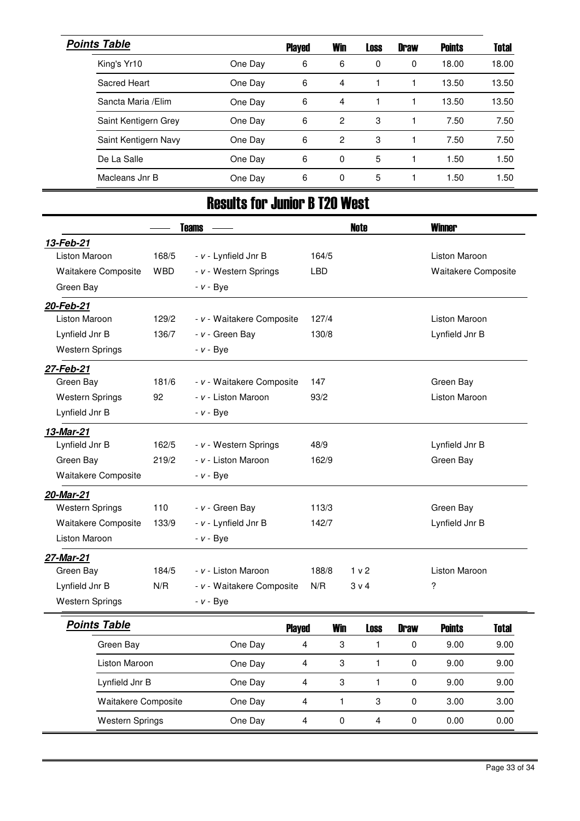| <b>Points Table</b>  |         | <b>Played</b> | <b>Win</b> | <b>Loss</b> | <b>Draw</b> | <b>Points</b> | <b>Total</b> |
|----------------------|---------|---------------|------------|-------------|-------------|---------------|--------------|
| King's Yr10          | One Day | 6             | 6          | 0           | $\Omega$    | 18.00         | 18.00        |
| Sacred Heart         | One Day | 6             | 4          |             |             | 13.50         | 13.50        |
| Sancta Maria / Elim  | One Day | 6             | 4          |             |             | 13.50         | 13.50        |
| Saint Kentigern Grey | One Day | 6             | 2          | 3           |             | 7.50          | 7.50         |
| Saint Kentigern Navy | One Day | 6             | 2          | 3           |             | 7.50          | 7.50         |
| De La Salle          | One Day | 6             | $\Omega$   | 5           |             | 1.50          | 1.50         |
| Macleans Jnr B       | One Day | 6             | 0          | 5           |             | 1.50          | 1.50         |

## Results for Junior B T20 West

|                        |            | <b>Teams</b>              |                                | <b>Note</b>    |                      | <b>Winner</b>              |              |
|------------------------|------------|---------------------------|--------------------------------|----------------|----------------------|----------------------------|--------------|
| 13-Feb-21              |            |                           |                                |                |                      |                            |              |
| <b>Liston Maroon</b>   | 168/5      | - v - Lynfield Jnr B      | 164/5                          |                |                      | <b>Liston Maroon</b>       |              |
| Waitakere Composite    | <b>WBD</b> | - v - Western Springs     | <b>LBD</b>                     |                |                      | <b>Waitakere Composite</b> |              |
| Green Bay              |            | $- v - Bye$               |                                |                |                      |                            |              |
| 20-Feb-21              |            |                           |                                |                |                      |                            |              |
| <b>Liston Maroon</b>   | 129/2      | - v - Waitakere Composite | 127/4                          |                |                      | <b>Liston Maroon</b>       |              |
| Lynfield Jnr B         | 136/7      | - v - Green Bay           | 130/8                          |                |                      | Lynfield Jnr B             |              |
| <b>Western Springs</b> |            | $- v - Bye$               |                                |                |                      |                            |              |
| 27-Feb-21              |            |                           |                                |                |                      |                            |              |
| Green Bay              | 181/6      | - v - Waitakere Composite | 147                            |                |                      | Green Bay                  |              |
| <b>Western Springs</b> | 92         | - v - Liston Maroon       | 93/2                           |                |                      | <b>Liston Maroon</b>       |              |
| Lynfield Jnr B         |            | $- v - Bye$               |                                |                |                      |                            |              |
| 13-Mar-21              |            |                           |                                |                |                      |                            |              |
| Lynfield Jnr B         | 162/5      | - v - Western Springs     | 48/9                           |                | Lynfield Jnr B       |                            |              |
| Green Bay              | 219/2      | - v - Liston Maroon       | 162/9                          |                |                      | Green Bay                  |              |
| Waitakere Composite    |            | $- v - Bye$               |                                |                |                      |                            |              |
| 20-Mar-21              |            |                           |                                |                |                      |                            |              |
| <b>Western Springs</b> | 110        | - v - Green Bay           | 113/3                          |                | Green Bay            |                            |              |
| Waitakere Composite    | 133/9      | - v - Lynfield Jnr B      | 142/7                          |                | Lynfield Jnr B       |                            |              |
| Liston Maroon          |            | $- v - Bye$               |                                |                |                      |                            |              |
| 27-Mar-21              |            |                           |                                |                |                      |                            |              |
| Green Bay              | 184/5      | - v - Liston Maroon       | 188/8                          | 1 <sub>v</sub> | <b>Liston Maroon</b> |                            |              |
| Lynfield Jnr B         | N/R        | - v - Waitakere Composite | N/R                            | 3 <sub>v</sub> |                      | ?                          |              |
| <b>Western Springs</b> |            | $- v - Bye$               |                                |                |                      |                            |              |
| <b>Points Table</b>    |            | <b>Played</b>             | <b>Win</b>                     | <b>Loss</b>    | <b>Draw</b>          | <b>Points</b>              | <b>Total</b> |
| Green Bay              |            | One Day                   | 3<br>4                         | 1              | 0                    | 9.00                       | 9.00         |
| Liston Maroon          |            | One Day                   | 3<br>4                         | 1              | $\pmb{0}$            | 9.00                       | 9.00         |
| Lynfield Jnr B         |            | One Day                   | 3<br>$\overline{4}$            | $\mathbf{1}$   | $\pmb{0}$            | 9.00                       | 9.00         |
| Waitakere Composite    |            | One Day                   | $\mathbf{1}$<br>$\overline{4}$ | 3              | $\pmb{0}$            | 3.00                       | 3.00         |
| <b>Western Springs</b> |            | One Day                   | 0<br>$\overline{4}$            | 4              | $\pmb{0}$            | 0.00                       | 0.00         |